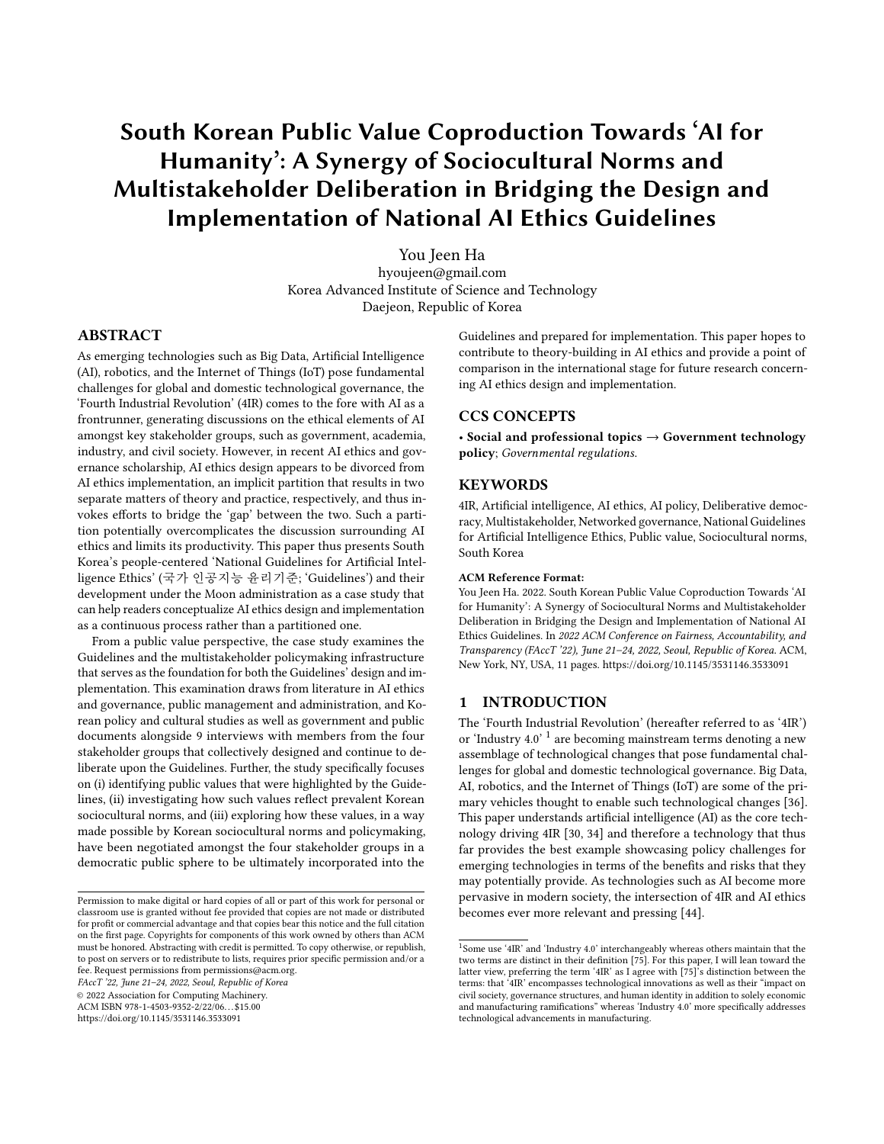# South Korean Public Value Coproduction Towards 'AI for Humanity': A Synergy of Sociocultural Norms and Multistakeholder Deliberation in Bridging the Design and Implementation of National AI Ethics Guidelines

[You Jeen Ha](https://orcid.org/0000-0001-6780-5178) hyoujeen@gmail.com Korea Advanced Institute of Science and Technology Daejeon, Republic of Korea

## ABSTRACT

As emerging technologies such as Big Data, Artificial Intelligence (AI), robotics, and the Internet of Things (IoT) pose fundamental challenges for global and domestic technological governance, the 'Fourth Industrial Revolution' (4IR) comes to the fore with AI as a frontrunner, generating discussions on the ethical elements of AI amongst key stakeholder groups, such as government, academia, industry, and civil society. However, in recent AI ethics and governance scholarship, AI ethics design appears to be divorced from AI ethics implementation, an implicit partition that results in two separate matters of theory and practice, respectively, and thus invokes efforts to bridge the 'gap' between the two. Such a partition potentially overcomplicates the discussion surrounding AI ethics and limits its productivity. This paper thus presents South Korea's people-centered 'National Guidelines for Artificial Intelligence Ethics' (국가 인공지능 윤리기준; 'Guidelines') and their development under the Moon administration as a case study that can help readers conceptualize AI ethics design and implementation as a continuous process rather than a partitioned one.

From a public value perspective, the case study examines the Guidelines and the multistakeholder policymaking infrastructure that serves as the foundation for both the Guidelines' design and implementation. This examination draws from literature in AI ethics and governance, public management and administration, and Korean policy and cultural studies as well as government and public documents alongside 9 interviews with members from the four stakeholder groups that collectively designed and continue to deliberate upon the Guidelines. Further, the study specifically focuses on (i) identifying public values that were highlighted by the Guidelines, (ii) investigating how such values reflect prevalent Korean sociocultural norms, and (iii) exploring how these values, in a way made possible by Korean sociocultural norms and policymaking, have been negotiated amongst the four stakeholder groups in a democratic public sphere to be ultimately incorporated into the

FAccT '22, June 21–24, 2022, Seoul, Republic of Korea

© 2022 Association for Computing Machinery.

ACM ISBN 978-1-4503-9352-2/22/06. . . \$15.00

<https://doi.org/10.1145/3531146.3533091>

Guidelines and prepared for implementation. This paper hopes to contribute to theory-building in AI ethics and provide a point of comparison in the international stage for future research concerning AI ethics design and implementation.

## CCS CONCEPTS

• Social and professional topics → Government technology policy; Governmental regulations.

## **KEYWORDS**

4IR, Artificial intelligence, AI ethics, AI policy, Deliberative democracy, Multistakeholder, Networked governance, National Guidelines for Artificial Intelligence Ethics, Public value, Sociocultural norms, South Korea

#### ACM Reference Format:

You Jeen Ha. 2022. South Korean Public Value Coproduction Towards 'AI for Humanity': A Synergy of Sociocultural Norms and Multistakeholder Deliberation in Bridging the Design and Implementation of National AI Ethics Guidelines. In 2022 ACM Conference on Fairness, Accountability, and Transparency (FAccT '22), June 21–24, 2022, Seoul, Republic of Korea. ACM, New York, NY, USA, [11](#page-10-0) pages.<https://doi.org/10.1145/3531146.3533091>

## 1 INTRODUCTION

The 'Fourth Industrial Revolution' (hereafter referred to as '4IR') or 'Industry 4.0' <sup>[1](#page-0-0)</sup> are becoming mainstream terms denoting a new assemblage of technological changes that pose fundamental challenges for global and domestic technological governance. Big Data, AI, robotics, and the Internet of Things (IoT) are some of the primary vehicles thought to enable such technological changes [\[36\]](#page-9-0). This paper understands artificial intelligence (AI) as the core technology driving 4IR [\[30,](#page-8-0) [34\]](#page-9-1) and therefore a technology that thus far provides the best example showcasing policy challenges for emerging technologies in terms of the benefits and risks that they may potentially provide. As technologies such as AI become more pervasive in modern society, the intersection of 4IR and AI ethics becomes ever more relevant and pressing [\[44\]](#page-9-2).

Permission to make digital or hard copies of all or part of this work for personal or classroom use is granted without fee provided that copies are not made or distributed for profit or commercial advantage and that copies bear this notice and the full citation on the first page. Copyrights for components of this work owned by others than ACM must be honored. Abstracting with credit is permitted. To copy otherwise, or republish, to post on servers or to redistribute to lists, requires prior specific permission and/or a fee. Request permissions from permissions@acm.org.

<span id="page-0-0"></span><sup>&</sup>lt;sup>1</sup>Some use '4IR' and 'Industry 4.0' interchangeably whereas others maintain that the two terms are distinct in their definition [\[75\]](#page-9-3). For this paper, I will lean toward the latter view, preferring the term '4IR' as I agree with [\[75\]](#page-9-3)'s distinction between the terms: that '4IR' encompasses technological innovations as well as their "impact on civil society, governance structures, and human identity in addition to solely economic and manufacturing ramifications" whereas 'Industry 4.0' more specifically addresses technological advancements in manufacturing.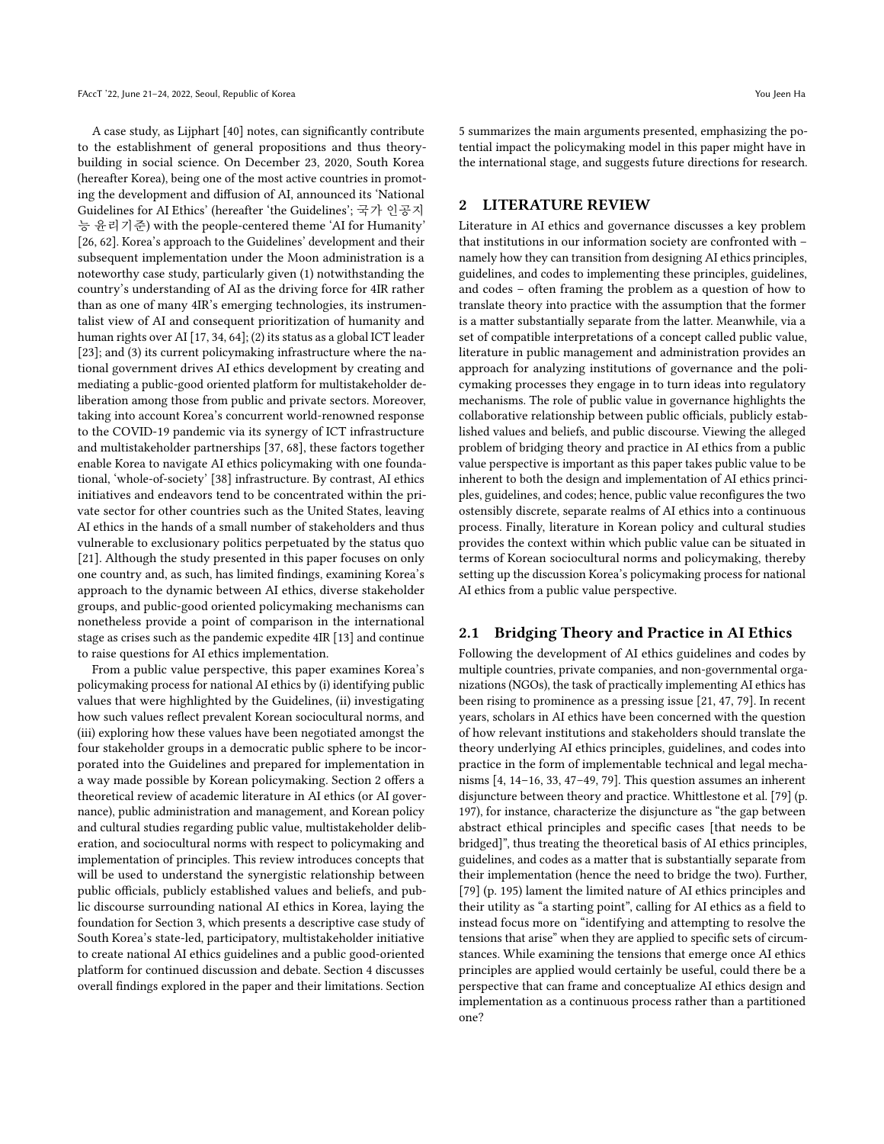A case study, as Lijphart [\[40\]](#page-9-4) notes, can significantly contribute to the establishment of general propositions and thus theorybuilding in social science. On December 23, 2020, South Korea (hereafter Korea), being one of the most active countries in promoting the development and diffusion of AI, announced its 'National Guidelines for AI Ethics' (hereafter 'the Guidelines'; 국가 인공지 능 윤리기준) with the people-centered theme 'AI for Humanity' [\[26,](#page-8-1) [62\]](#page-9-5). Korea's approach to the Guidelines' development and their subsequent implementation under the Moon administration is a noteworthy case study, particularly given (1) notwithstanding the country's understanding of AI as the driving force for 4IR rather than as one of many 4IR's emerging technologies, its instrumentalist view of AI and consequent prioritization of humanity and human rights over AI [\[17,](#page-8-2) [34,](#page-9-1) [64\]](#page-9-6); (2) its status as a global ICT leader [\[23\]](#page-8-3); and (3) its current policymaking infrastructure where the national government drives AI ethics development by creating and mediating a public-good oriented platform for multistakeholder deliberation among those from public and private sectors. Moreover, taking into account Korea's concurrent world-renowned response to the COVID-19 pandemic via its synergy of ICT infrastructure and multistakeholder partnerships [\[37,](#page-9-7) [68\]](#page-9-8), these factors together enable Korea to navigate AI ethics policymaking with one foundational, 'whole-of-society' [\[38\]](#page-9-9) infrastructure. By contrast, AI ethics initiatives and endeavors tend to be concentrated within the private sector for other countries such as the United States, leaving AI ethics in the hands of a small number of stakeholders and thus vulnerable to exclusionary politics perpetuated by the status quo [\[21\]](#page-8-4). Although the study presented in this paper focuses on only one country and, as such, has limited findings, examining Korea's approach to the dynamic between AI ethics, diverse stakeholder groups, and public-good oriented policymaking mechanisms can nonetheless provide a point of comparison in the international stage as crises such as the pandemic expedite 4IR [\[13\]](#page-8-5) and continue to raise questions for AI ethics implementation.

From a public value perspective, this paper examines Korea's policymaking process for national AI ethics by (i) identifying public values that were highlighted by the Guidelines, (ii) investigating how such values reflect prevalent Korean sociocultural norms, and (iii) exploring how these values have been negotiated amongst the four stakeholder groups in a democratic public sphere to be incorporated into the Guidelines and prepared for implementation in a way made possible by Korean policymaking. Section 2 offers a theoretical review of academic literature in AI ethics (or AI governance), public administration and management, and Korean policy and cultural studies regarding public value, multistakeholder deliberation, and sociocultural norms with respect to policymaking and implementation of principles. This review introduces concepts that will be used to understand the synergistic relationship between public officials, publicly established values and beliefs, and public discourse surrounding national AI ethics in Korea, laying the foundation for Section 3, which presents a descriptive case study of South Korea's state-led, participatory, multistakeholder initiative to create national AI ethics guidelines and a public good-oriented platform for continued discussion and debate. Section 4 discusses overall findings explored in the paper and their limitations. Section

5 summarizes the main arguments presented, emphasizing the potential impact the policymaking model in this paper might have in the international stage, and suggests future directions for research.

## 2 LITERATURE REVIEW

Literature in AI ethics and governance discusses a key problem that institutions in our information society are confronted with – namely how they can transition from designing AI ethics principles, guidelines, and codes to implementing these principles, guidelines, and codes – often framing the problem as a question of how to translate theory into practice with the assumption that the former is a matter substantially separate from the latter. Meanwhile, via a set of compatible interpretations of a concept called public value, literature in public management and administration provides an approach for analyzing institutions of governance and the policymaking processes they engage in to turn ideas into regulatory mechanisms. The role of public value in governance highlights the collaborative relationship between public officials, publicly established values and beliefs, and public discourse. Viewing the alleged problem of bridging theory and practice in AI ethics from a public value perspective is important as this paper takes public value to be inherent to both the design and implementation of AI ethics principles, guidelines, and codes; hence, public value reconfigures the two ostensibly discrete, separate realms of AI ethics into a continuous process. Finally, literature in Korean policy and cultural studies provides the context within which public value can be situated in terms of Korean sociocultural norms and policymaking, thereby setting up the discussion Korea's policymaking process for national AI ethics from a public value perspective.

### 2.1 Bridging Theory and Practice in AI Ethics

Following the development of AI ethics guidelines and codes by multiple countries, private companies, and non-governmental organizations (NGOs), the task of practically implementing AI ethics has been rising to prominence as a pressing issue [\[21,](#page-8-4) [47,](#page-9-10) [79\]](#page-9-11). In recent years, scholars in AI ethics have been concerned with the question of how relevant institutions and stakeholders should translate the theory underlying AI ethics principles, guidelines, and codes into practice in the form of implementable technical and legal mechanisms [\[4,](#page-8-6) [14](#page-8-7)[–16,](#page-8-8) [33,](#page-9-12) [47](#page-9-10)[–49,](#page-9-13) [79\]](#page-9-11). This question assumes an inherent disjuncture between theory and practice. Whittlestone et al. [\[79\]](#page-9-11) (p. 197), for instance, characterize the disjuncture as "the gap between abstract ethical principles and specific cases [that needs to be bridged]", thus treating the theoretical basis of AI ethics principles, guidelines, and codes as a matter that is substantially separate from their implementation (hence the need to bridge the two). Further, [\[79\]](#page-9-11) (p. 195) lament the limited nature of AI ethics principles and their utility as "a starting point", calling for AI ethics as a field to instead focus more on "identifying and attempting to resolve the tensions that arise" when they are applied to specific sets of circumstances. While examining the tensions that emerge once AI ethics principles are applied would certainly be useful, could there be a perspective that can frame and conceptualize AI ethics design and implementation as a continuous process rather than a partitioned one?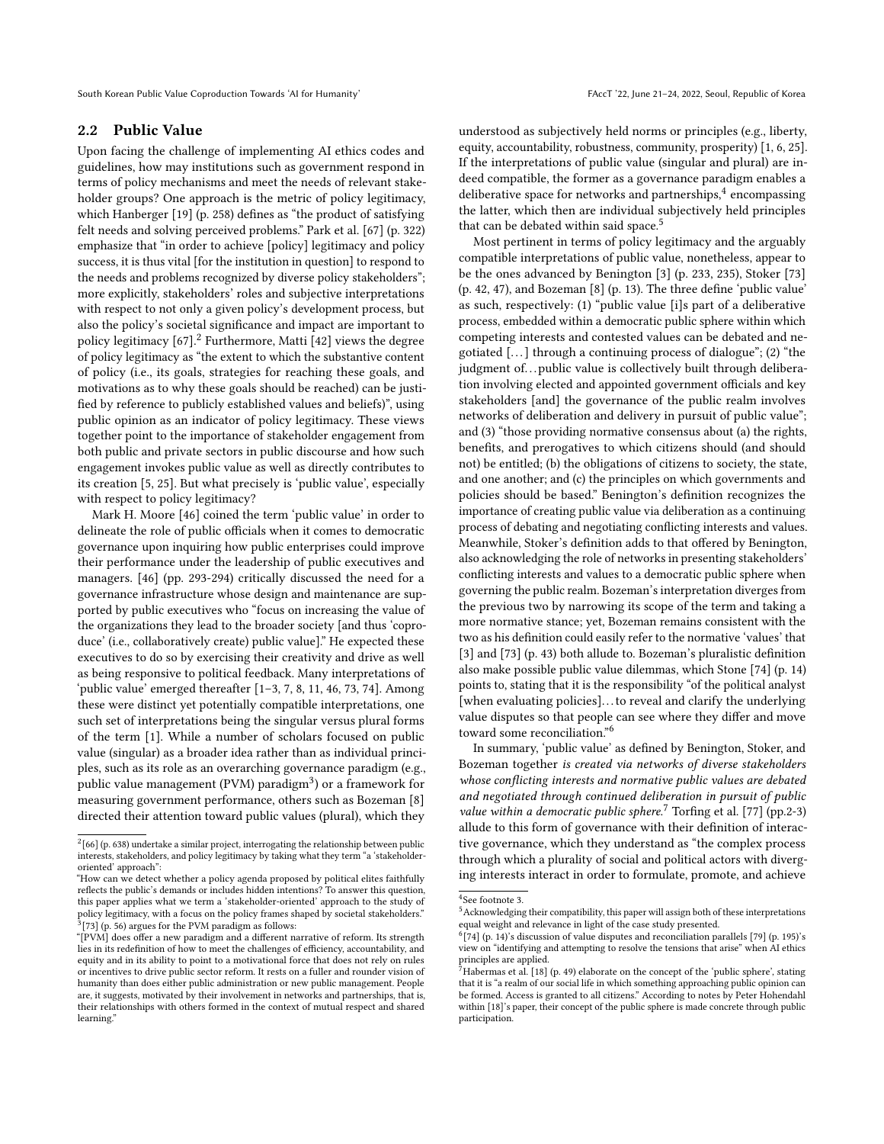South Korean Public Value Coproduction Towards 'AI for Humanity' FACCT '22, June 21-24, 2022, Seoul, Republic of Korea

<span id="page-2-6"></span>Upon facing the challenge of implementing AI ethics codes and guidelines, how may institutions such as government respond in terms of policy mechanisms and meet the needs of relevant stakeholder groups? One approach is the metric of policy legitimacy, which Hanberger [\[19\]](#page-8-9) (p. 258) defines as "the product of satisfying felt needs and solving perceived problems." Park et al. [\[67\]](#page-9-14) (p. 322) emphasize that "in order to achieve [policy] legitimacy and policy success, it is thus vital [for the institution in question] to respond to the needs and problems recognized by diverse policy stakeholders"; more explicitly, stakeholders' roles and subjective interpretations with respect to not only a given policy's development process, but also the policy's societal significance and impact are important to policy legitimacy  $[67]$ .<sup>[2](#page-2-0)</sup> Furthermore, Matti  $[42]$  views the degree of policy legitimacy as "the extent to which the substantive content of policy (i.e., its goals, strategies for reaching these goals, and motivations as to why these goals should be reached) can be justified by reference to publicly established values and beliefs)", using public opinion as an indicator of policy legitimacy. These views together point to the importance of stakeholder engagement from both public and private sectors in public discourse and how such engagement invokes public value as well as directly contributes to its creation [\[5,](#page-8-10) [25\]](#page-8-11). But what precisely is 'public value', especially with respect to policy legitimacy?

Mark H. Moore [\[46\]](#page-9-16) coined the term 'public value' in order to delineate the role of public officials when it comes to democratic governance upon inquiring how public enterprises could improve their performance under the leadership of public executives and managers. [\[46\]](#page-9-16) (pp. 293-294) critically discussed the need for a governance infrastructure whose design and maintenance are supported by public executives who "focus on increasing the value of the organizations they lead to the broader society [and thus 'coproduce' (i.e., collaboratively create) public value]." He expected these executives to do so by exercising their creativity and drive as well as being responsive to political feedback. Many interpretations of 'public value' emerged thereafter [\[1](#page-8-12)[–3,](#page-8-13) [7,](#page-8-14) [8,](#page-8-15) [11,](#page-8-16) [46,](#page-9-16) [73,](#page-9-17) [74\]](#page-9-18). Among these were distinct yet potentially compatible interpretations, one such set of interpretations being the singular versus plural forms of the term [\[1\]](#page-8-12). While a number of scholars focused on public value (singular) as a broader idea rather than as individual principles, such as its role as an overarching governance paradigm (e.g., public value management (PVM) paradigm<sup>[3](#page-2-1)</sup>) or a framework for measuring government performance, others such as Bozeman [\[8\]](#page-8-15) directed their attention toward public values (plural), which they

understood as subjectively held norms or principles (e.g., liberty, equity, accountability, robustness, community, prosperity) [\[1,](#page-8-12) [6,](#page-8-17) [25\]](#page-8-11). If the interpretations of public value (singular and plural) are indeed compatible, the former as a governance paradigm enables a deliberative space for networks and partnerships, $\rm ^4$  $\rm ^4$  encompassing the latter, which then are individual subjectively held principles that can be debated within said space.<sup>[5](#page-2-3)</sup>

Most pertinent in terms of policy legitimacy and the arguably compatible interpretations of public value, nonetheless, appear to be the ones advanced by Benington [\[3\]](#page-8-13) (p. 233, 235), Stoker [\[73\]](#page-9-17) (p. 42, 47), and Bozeman [\[8\]](#page-8-15) (p. 13). The three define 'public value' as such, respectively: (1) "public value [i]s part of a deliberative process, embedded within a democratic public sphere within which competing interests and contested values can be debated and negotiated  $\left[\ldots\right]$  through a continuing process of dialogue"; (2) "the judgment of... public value is collectively built through deliberation involving elected and appointed government officials and key stakeholders [and] the governance of the public realm involves networks of deliberation and delivery in pursuit of public value"; and (3) "those providing normative consensus about (a) the rights, benefits, and prerogatives to which citizens should (and should not) be entitled; (b) the obligations of citizens to society, the state, and one another; and (c) the principles on which governments and policies should be based." Benington's definition recognizes the importance of creating public value via deliberation as a continuing process of debating and negotiating conflicting interests and values. Meanwhile, Stoker's definition adds to that offered by Benington, also acknowledging the role of networks in presenting stakeholders' conflicting interests and values to a democratic public sphere when governing the public realm. Bozeman's interpretation diverges from the previous two by narrowing its scope of the term and taking a more normative stance; yet, Bozeman remains consistent with the two as his definition could easily refer to the normative 'values' that [\[3\]](#page-8-13) and [\[73\]](#page-9-17) (p. 43) both allude to. Bozeman's pluralistic definition also make possible public value dilemmas, which Stone [\[74\]](#page-9-18) (p. 14) points to, stating that it is the responsibility "of the political analyst [when evaluating policies]. . . to reveal and clarify the underlying value disputes so that people can see where they differ and move toward some reconciliation."[6](#page-2-4)

In summary, 'public value' as defined by Benington, Stoker, and Bozeman together is created via networks of diverse stakeholders whose conflicting interests and normative public values are debated and negotiated through continued deliberation in pursuit of public value within a democratic public sphere.<sup>[7](#page-2-5)</sup> Torfing et al. [\[77\]](#page-9-20) (pp.2-3) allude to this form of governance with their definition of interactive governance, which they understand as "the complex process through which a plurality of social and political actors with diverging interests interact in order to formulate, promote, and achieve

<span id="page-2-0"></span> $2[66]$  $2[66]$  (p. 638) undertake a similar project, interrogating the relationship between public interests, stakeholders, and policy legitimacy by taking what they term "a 'stakeholderoriented' approach":

<sup>&</sup>quot;How can we detect whether a policy agenda proposed by political elites faithfully reflects the public's demands or includes hidden intentions? To answer this question, this paper applies what we term a 'stakeholder-oriented' approach to the study of policy legitimacy, with a focus on the policy frames shaped by societal stakeholders."  $^{3}$ [\[73\]](#page-9-17) (p. 56) argues for the PVM paradigm as follows:

<span id="page-2-1"></span><sup>&</sup>quot;[PVM] does offer a new paradigm and a different narrative of reform. Its strength lies in its redefinition of how to meet the challenges of efficiency, accountability, and equity and in its ability to point to a motivational force that does not rely on rules or incentives to drive public sector reform. It rests on a fuller and rounder vision of humanity than does either public administration or new public management. People are, it suggests, motivated by their involvement in networks and partnerships, that is, their relationships with others formed in the context of mutual respect and shared learning."

<span id="page-2-2"></span><sup>4</sup> See footnote 3.

<span id="page-2-3"></span><sup>&</sup>lt;sup>5</sup> Acknowledging their compatibility, this paper will assign both of these interpretations equal weight and relevance in light of the case study presented.

<span id="page-2-4"></span> $^{6}$ [\[74\]](#page-9-18) (p. 14)'s discussion of value disputes and reconciliation parallels [\[79\]](#page-9-11) (p. 195)'s view on "identifying and attempting to resolve the tensions that arise" when AI ethics principles are applied.

<span id="page-2-5"></span> $^{7}$ Habermas et al. [\[18\]](#page-8-18) (p. 49) elaborate on the concept of the 'public sphere', stating that it is "a realm of our social life in which something approaching public opinion can be formed. Access is granted to all citizens." According to notes by Peter Hohendahl within [\[18\]](#page-8-18)'s paper, their concept of the public sphere is made concrete through public participation.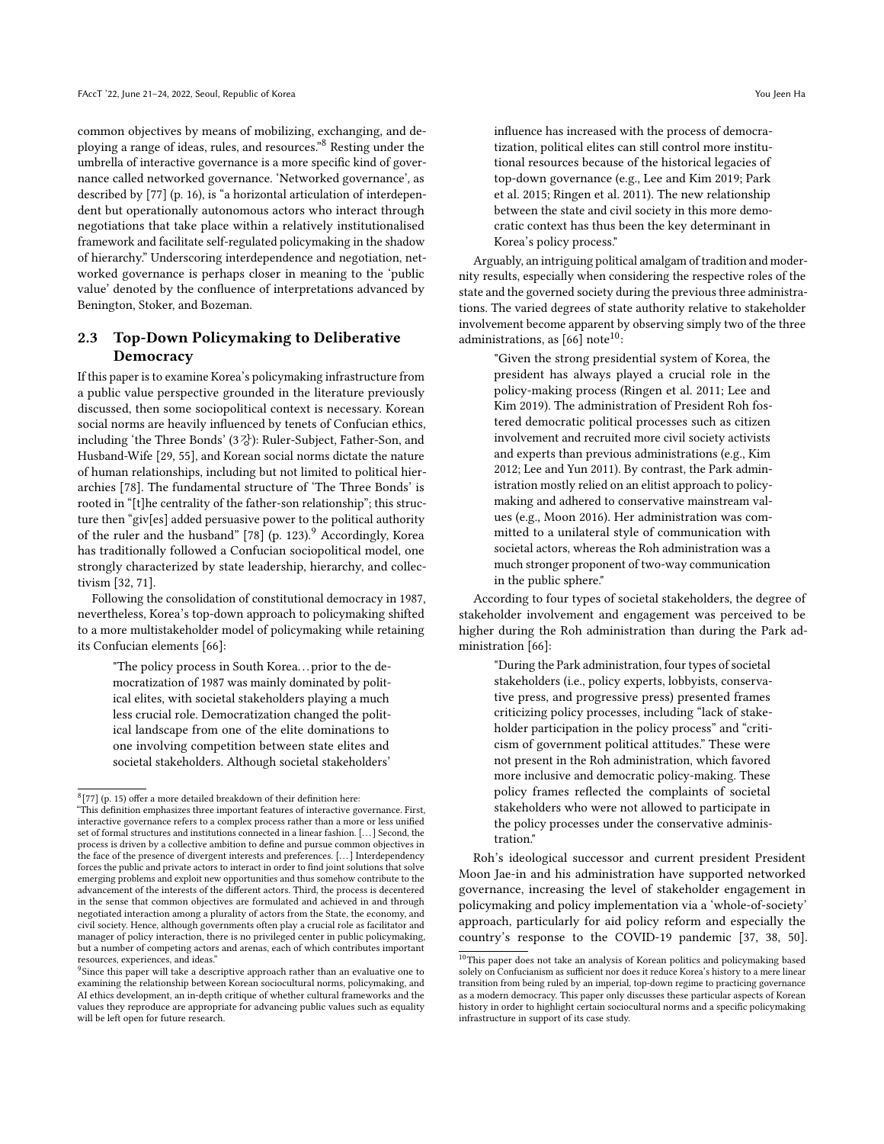common objectives by means of mobilizing, exchanging, and deploying a range of ideas, rules, and resources."[8](#page-3-0) Resting under the umbrella of interactive governance is a more specific kind of governance called networked governance. 'Networked governance', as described by [\[77\]](#page-9-20) (p. 16), is "a horizontal articulation of interdependent but operationally autonomous actors who interact through negotiations that take place within a relatively institutionalised framework and facilitate self-regulated policymaking in the shadow of hierarchy." Underscoring interdependence and negotiation, networked governance is perhaps closer in meaning to the 'public value' denoted by the confluence of interpretations advanced by Benington, Stoker, and Bozeman.

# 2.3 Top-Down Policymaking to Deliberative **Democracy**

If this paper is to examine Korea's policymaking infrastructure from a public value perspective grounded in the literature previously discussed, then some sociopolitical context is necessary. Korean social norms are heavily influenced by tenets of Confucian ethics, including 'the Three Bonds' (3강): Ruler-Subject, Father-Son, and Husband-Wife [\[29,](#page-8-19) [55\]](#page-9-21), and Korean social norms dictate the nature of human relationships, including but not limited to political hierarchies [\[78\]](#page-9-22). The fundamental structure of 'The Three Bonds' is rooted in "[t]he centrality of the father-son relationship"; this structure then "giv[es] added persuasive power to the political authority of the ruler and the husband" [\[78\]](#page-9-22) (p. 123).<sup>[9](#page-3-1)</sup> Accordingly, Korea has traditionally followed a Confucian sociopolitical model, one strongly characterized by state leadership, hierarchy, and collectivism [\[32,](#page-8-20) [71\]](#page-9-23).

Following the consolidation of constitutional democracy in 1987, nevertheless, Korea's top-down approach to policymaking shifted to a more multistakeholder model of policymaking while retaining its Confucian elements [\[66\]](#page-9-19):

"The policy process in South Korea. . . prior to the democratization of 1987 was mainly dominated by political elites, with societal stakeholders playing a much less crucial role. Democratization changed the political landscape from one of the elite dominations to one involving competition between state elites and societal stakeholders. Although societal stakeholders'

influence has increased with the process of democratization, political elites can still control more institutional resources because of the historical legacies of top-down governance (e.g., Lee and Kim 2019; Park et al. 2015; Ringen et al. 2011). The new relationship between the state and civil society in this more democratic context has thus been the key determinant in Korea's policy process."

Arguably, an intriguing political amalgam of tradition and modernity results, especially when considering the respective roles of the state and the governed society during the previous three administrations. The varied degrees of state authority relative to stakeholder involvement become apparent by observing simply two of the three administrations, as  $[66]$  note<sup>[10](#page-3-2)</sup>:

> "Given the strong presidential system of Korea, the president has always played a crucial role in the policy-making process (Ringen et al. 2011; Lee and Kim 2019). The administration of President Roh fostered democratic political processes such as citizen involvement and recruited more civil society activists and experts than previous administrations (e.g., Kim 2012; Lee and Yun 2011). By contrast, the Park administration mostly relied on an elitist approach to policymaking and adhered to conservative mainstream values (e.g., Moon 2016). Her administration was committed to a unilateral style of communication with societal actors, whereas the Roh administration was a much stronger proponent of two-way communication in the public sphere."

According to four types of societal stakeholders, the degree of stakeholder involvement and engagement was perceived to be higher during the Roh administration than during the Park administration [\[66\]](#page-9-19):

> "During the Park administration, four types of societal stakeholders (i.e., policy experts, lobbyists, conservative press, and progressive press) presented frames criticizing policy processes, including "lack of stakeholder participation in the policy process" and "criticism of government political attitudes." These were not present in the Roh administration, which favored more inclusive and democratic policy-making. These policy frames reflected the complaints of societal stakeholders who were not allowed to participate in the policy processes under the conservative administration."

Roh's ideological successor and current president President Moon Jae-in and his administration have supported networked governance, increasing the level of stakeholder engagement in policymaking and policy implementation via a 'whole-of-society' approach, particularly for aid policy reform and especially the country's response to the COVID-19 pandemic [\[37,](#page-9-7) [38,](#page-9-9) [50\]](#page-9-24).

<span id="page-3-0"></span> $^{8}$ [\[77\]](#page-9-20) (p. 15) offer a more detailed breakdown of their definition here:

<sup>&</sup>quot;This definition emphasizes three important features of interactive governance. First, interactive governance refers to a complex process rather than a more or less unified set of formal structures and institutions connected in a linear fashion. [. . . ] Second, the process is driven by a collective ambition to define and pursue common objectives in the face of the presence of divergent interests and preferences. [. . . ] Interdependency forces the public and private actors to interact in order to find joint solutions that solve emerging problems and exploit new opportunities and thus somehow contribute to the advancement of the interests of the different actors. Third, the process is decentered in the sense that common objectives are formulated and achieved in and through negotiated interaction among a plurality of actors from the State, the economy, and civil society. Hence, although governments often play a crucial role as facilitator and manager of policy interaction, there is no privileged center in public policymaking, but a number of competing actors and arenas, each of which contributes important resources, experiences, and ideas."

<span id="page-3-1"></span><sup>&</sup>lt;sup>9</sup>Since this paper will take a descriptive approach rather than an evaluative one to examining the relationship between Korean sociocultural norms, policymaking, and AI ethics development, an in-depth critique of whether cultural frameworks and the values they reproduce are appropriate for advancing public values such as equality will be left open for future research.

<span id="page-3-2"></span> $^{10}\mathrm{This}$  paper does not take an analysis of Korean politics and policy<br>making based solely on Confucianism as sufficient nor does it reduce Korea's history to a mere linear transition from being ruled by an imperial, top-down regime to practicing governance as a modern democracy. This paper only discusses these particular aspects of Korean history in order to highlight certain sociocultural norms and a specific policymaking infrastructure in support of its case study.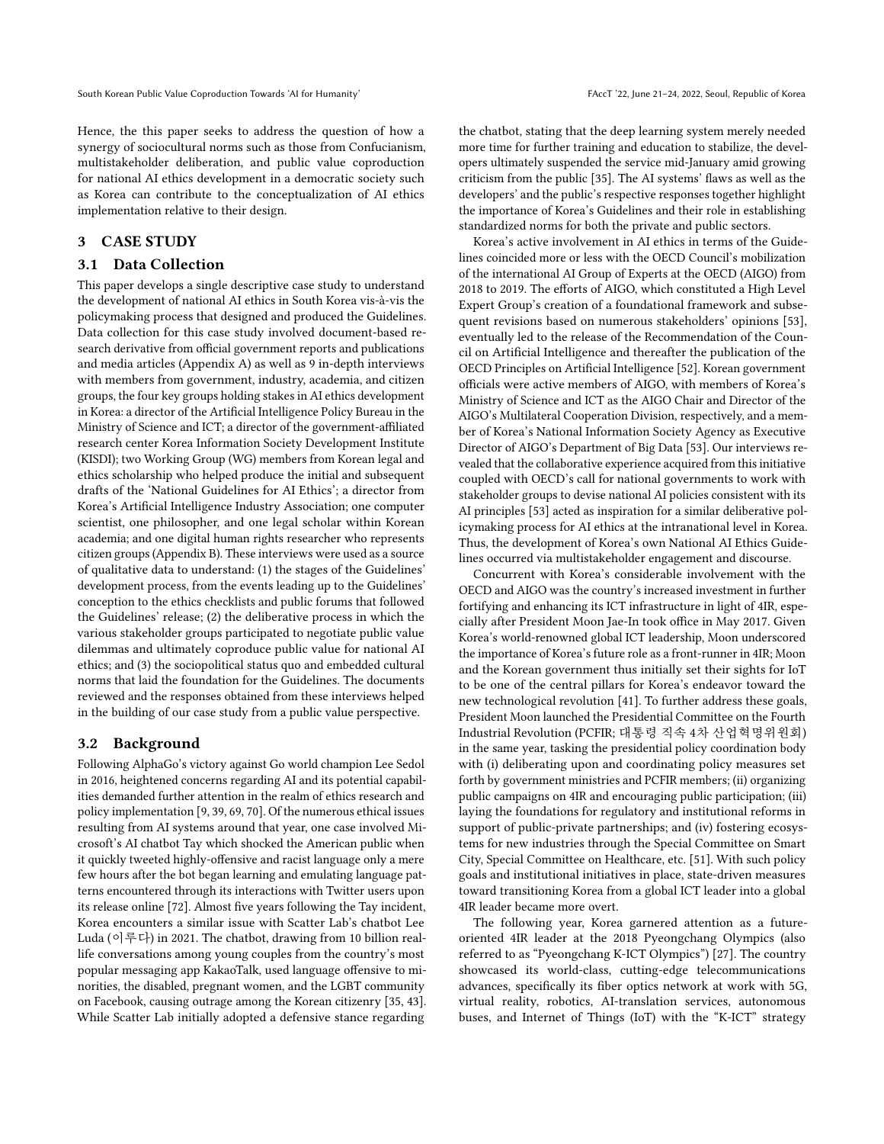Hence, the this paper seeks to address the question of how a synergy of sociocultural norms such as those from Confucianism, multistakeholder deliberation, and public value coproduction for national AI ethics development in a democratic society such as Korea can contribute to the conceptualization of AI ethics implementation relative to their design.

## 3 CASE STUDY

#### 3.1 Data Collection

This paper develops a single descriptive case study to understand the development of national AI ethics in South Korea vis-à-vis the policymaking process that designed and produced the Guidelines. Data collection for this case study involved document-based research derivative from official government reports and publications and media articles (Appendix [A\)](#page-10-1) as well as 9 in-depth interviews with members from government, industry, academia, and citizen groups, the four key groups holding stakes in AI ethics development in Korea: a director of the Artificial Intelligence Policy Bureau in the Ministry of Science and ICT; a director of the government-affiliated research center Korea Information Society Development Institute (KISDI); two Working Group (WG) members from Korean legal and ethics scholarship who helped produce the initial and subsequent drafts of the 'National Guidelines for AI Ethics'; a director from Korea's Artificial Intelligence Industry Association; one computer scientist, one philosopher, and one legal scholar within Korean academia; and one digital human rights researcher who represents citizen groups (Appendix [B\)](#page-10-2). These interviews were used as a source of qualitative data to understand: (1) the stages of the Guidelines' development process, from the events leading up to the Guidelines' conception to the ethics checklists and public forums that followed the Guidelines' release; (2) the deliberative process in which the various stakeholder groups participated to negotiate public value dilemmas and ultimately coproduce public value for national AI ethics; and (3) the sociopolitical status quo and embedded cultural norms that laid the foundation for the Guidelines. The documents reviewed and the responses obtained from these interviews helped in the building of our case study from a public value perspective.

## 3.2 Background

Following AlphaGo's victory against Go world champion Lee Sedol in 2016, heightened concerns regarding AI and its potential capabilities demanded further attention in the realm of ethics research and policy implementation [\[9,](#page-8-21) [39,](#page-9-25) [69,](#page-9-26) [70\]](#page-9-27). Of the numerous ethical issues resulting from AI systems around that year, one case involved Microsoft's AI chatbot Tay which shocked the American public when it quickly tweeted highly-offensive and racist language only a mere few hours after the bot began learning and emulating language patterns encountered through its interactions with Twitter users upon its release online [\[72\]](#page-9-28). Almost five years following the Tay incident, Korea encounters a similar issue with Scatter Lab's chatbot Lee Luda (이루다) in 2021. The chatbot, drawing from 10 billion reallife conversations among young couples from the country's most popular messaging app KakaoTalk, used language offensive to minorities, the disabled, pregnant women, and the LGBT community on Facebook, causing outrage among the Korean citizenry [\[35,](#page-9-29) [43\]](#page-9-30). While Scatter Lab initially adopted a defensive stance regarding

the chatbot, stating that the deep learning system merely needed more time for further training and education to stabilize, the developers ultimately suspended the service mid-January amid growing criticism from the public [\[35\]](#page-9-29). The AI systems' flaws as well as the developers' and the public's respective responses together highlight the importance of Korea's Guidelines and their role in establishing standardized norms for both the private and public sectors.

Korea's active involvement in AI ethics in terms of the Guidelines coincided more or less with the OECD Council's mobilization of the international AI Group of Experts at the OECD (AIGO) from 2018 to 2019. The efforts of AIGO, which constituted a High Level Expert Group's creation of a foundational framework and subsequent revisions based on numerous stakeholders' opinions [\[53\]](#page-9-31), eventually led to the release of the Recommendation of the Council on Artificial Intelligence and thereafter the publication of the OECD Principles on Artificial Intelligence [\[52\]](#page-9-32). Korean government officials were active members of AIGO, with members of Korea's Ministry of Science and ICT as the AIGO Chair and Director of the AIGO's Multilateral Cooperation Division, respectively, and a member of Korea's National Information Society Agency as Executive Director of AIGO's Department of Big Data [\[53\]](#page-9-31). Our interviews revealed that the collaborative experience acquired from this initiative coupled with OECD's call for national governments to work with stakeholder groups to devise national AI policies consistent with its AI principles [\[53\]](#page-9-31) acted as inspiration for a similar deliberative policymaking process for AI ethics at the intranational level in Korea. Thus, the development of Korea's own National AI Ethics Guidelines occurred via multistakeholder engagement and discourse.

Concurrent with Korea's considerable involvement with the OECD and AIGO was the country's increased investment in further fortifying and enhancing its ICT infrastructure in light of 4IR, especially after President Moon Jae-In took office in May 2017. Given Korea's world-renowned global ICT leadership, Moon underscored the importance of Korea's future role as a front-runner in 4IR; Moon and the Korean government thus initially set their sights for IoT to be one of the central pillars for Korea's endeavor toward the new technological revolution [\[41\]](#page-9-33). To further address these goals, President Moon launched the Presidential Committee on the Fourth Industrial Revolution (PCFIR; 대통령 직속 4차 산업혁명위원회) in the same year, tasking the presidential policy coordination body with (i) deliberating upon and coordinating policy measures set forth by government ministries and PCFIR members; (ii) organizing public campaigns on 4IR and encouraging public participation; (iii) laying the foundations for regulatory and institutional reforms in support of public-private partnerships; and (iv) fostering ecosystems for new industries through the Special Committee on Smart City, Special Committee on Healthcare, etc. [\[51\]](#page-9-34). With such policy goals and institutional initiatives in place, state-driven measures toward transitioning Korea from a global ICT leader into a global 4IR leader became more overt.

The following year, Korea garnered attention as a futureoriented 4IR leader at the 2018 Pyeongchang Olympics (also referred to as "Pyeongchang K-ICT Olympics") [\[27\]](#page-8-22). The country showcased its world-class, cutting-edge telecommunications advances, specifically its fiber optics network at work with 5G, virtual reality, robotics, AI-translation services, autonomous buses, and Internet of Things (IoT) with the "K-ICT" strategy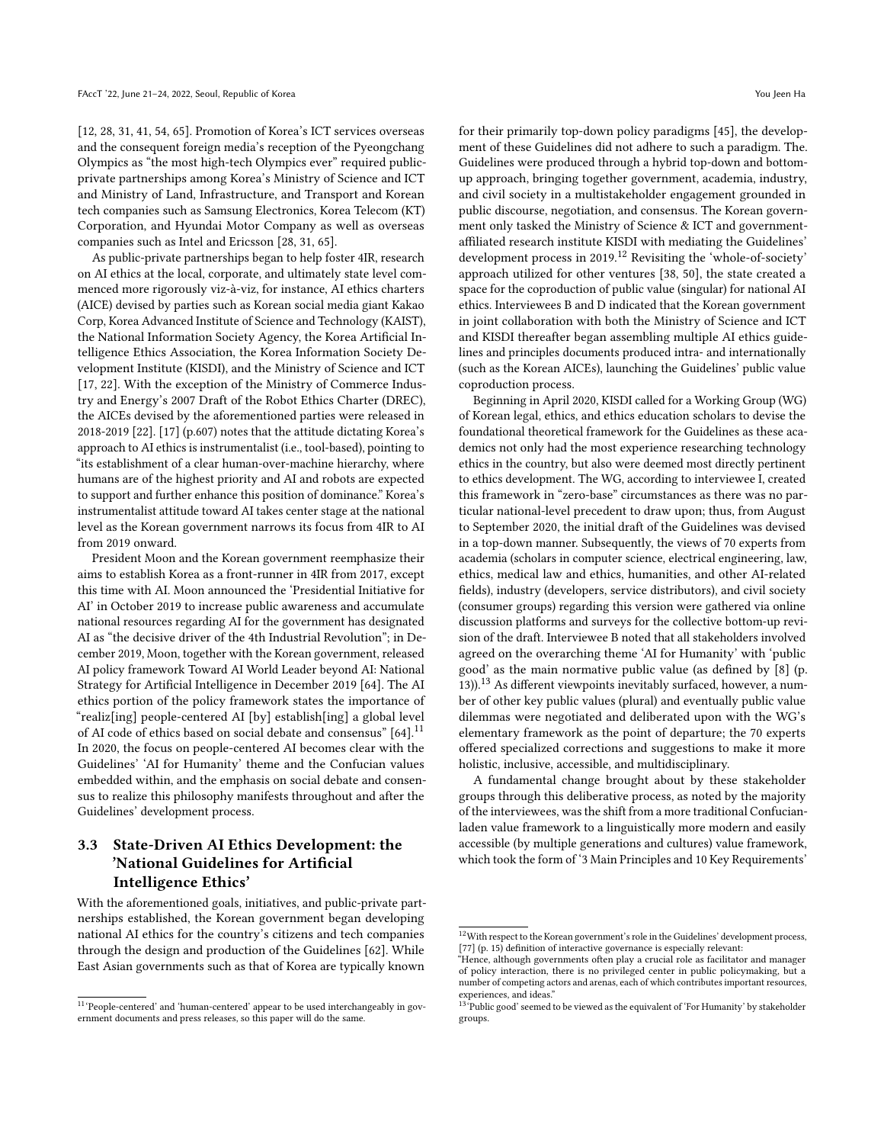[\[12,](#page-8-23) [28,](#page-8-24) [31,](#page-8-25) [41,](#page-9-33) [54,](#page-9-35) [65\]](#page-9-36). Promotion of Korea's ICT services overseas and the consequent foreign media's reception of the Pyeongchang Olympics as "the most high-tech Olympics ever" required publicprivate partnerships among Korea's Ministry of Science and ICT and Ministry of Land, Infrastructure, and Transport and Korean tech companies such as Samsung Electronics, Korea Telecom (KT) Corporation, and Hyundai Motor Company as well as overseas companies such as Intel and Ericsson [\[28,](#page-8-24) [31,](#page-8-25) [65\]](#page-9-36).

As public-private partnerships began to help foster 4IR, research on AI ethics at the local, corporate, and ultimately state level commenced more rigorously viz-à-viz, for instance, AI ethics charters (AICE) devised by parties such as Korean social media giant Kakao Corp, Korea Advanced Institute of Science and Technology (KAIST), the National Information Society Agency, the Korea Artificial Intelligence Ethics Association, the Korea Information Society Development Institute (KISDI), and the Ministry of Science and ICT [\[17,](#page-8-2) [22\]](#page-8-26). With the exception of the Ministry of Commerce Industry and Energy's 2007 Draft of the Robot Ethics Charter (DREC), the AICEs devised by the aforementioned parties were released in 2018-2019 [\[22\]](#page-8-26). [\[17\]](#page-8-2) (p.607) notes that the attitude dictating Korea's approach to AI ethics is instrumentalist (i.e., tool-based), pointing to "its establishment of a clear human-over-machine hierarchy, where humans are of the highest priority and AI and robots are expected to support and further enhance this position of dominance." Korea's instrumentalist attitude toward AI takes center stage at the national level as the Korean government narrows its focus from 4IR to AI from 2019 onward.

President Moon and the Korean government reemphasize their aims to establish Korea as a front-runner in 4IR from 2017, except this time with AI. Moon announced the 'Presidential Initiative for AI' in October 2019 to increase public awareness and accumulate national resources regarding AI for the government has designated AI as "the decisive driver of the 4th Industrial Revolution"; in December 2019, Moon, together with the Korean government, released AI policy framework Toward AI World Leader beyond AI: National Strategy for Artificial Intelligence in December 2019 [\[64\]](#page-9-6). The AI ethics portion of the policy framework states the importance of "realiz[ing] people-centered AI [by] establish[ing] a global level of AI code of ethics based on social debate and consensus" [\[64\]](#page-9-6).<sup>[11](#page-5-0)</sup> In 2020, the focus on people-centered AI becomes clear with the Guidelines' 'AI for Humanity' theme and the Confucian values embedded within, and the emphasis on social debate and consensus to realize this philosophy manifests throughout and after the Guidelines' development process.

# 3.3 State-Driven AI Ethics Development: the 'National Guidelines for Artificial Intelligence Ethics'

With the aforementioned goals, initiatives, and public-private partnerships established, the Korean government began developing national AI ethics for the country's citizens and tech companies through the design and production of the Guidelines [\[62\]](#page-9-5). While East Asian governments such as that of Korea are typically known

for their primarily top-down policy paradigms [\[45\]](#page-9-37), the development of these Guidelines did not adhere to such a paradigm. The. Guidelines were produced through a hybrid top-down and bottomup approach, bringing together government, academia, industry, and civil society in a multistakeholder engagement grounded in public discourse, negotiation, and consensus. The Korean government only tasked the Ministry of Science & ICT and governmentaffiliated research institute KISDI with mediating the Guidelines' development process in 2019.<sup>[12](#page-5-1)</sup> Revisiting the 'whole-of-society' approach utilized for other ventures [\[38,](#page-9-9) [50\]](#page-9-24), the state created a space for the coproduction of public value (singular) for national AI ethics. Interviewees B and D indicated that the Korean government in joint collaboration with both the Ministry of Science and ICT and KISDI thereafter began assembling multiple AI ethics guidelines and principles documents produced intra- and internationally (such as the Korean AICEs), launching the Guidelines' public value coproduction process.

Beginning in April 2020, KISDI called for a Working Group (WG) of Korean legal, ethics, and ethics education scholars to devise the foundational theoretical framework for the Guidelines as these academics not only had the most experience researching technology ethics in the country, but also were deemed most directly pertinent to ethics development. The WG, according to interviewee I, created this framework in "zero-base" circumstances as there was no particular national-level precedent to draw upon; thus, from August to September 2020, the initial draft of the Guidelines was devised in a top-down manner. Subsequently, the views of 70 experts from academia (scholars in computer science, electrical engineering, law, ethics, medical law and ethics, humanities, and other AI-related fields), industry (developers, service distributors), and civil society (consumer groups) regarding this version were gathered via online discussion platforms and surveys for the collective bottom-up revision of the draft. Interviewee B noted that all stakeholders involved agreed on the overarching theme 'AI for Humanity' with 'public good' as the main normative public value (as defined by [\[8\]](#page-8-15) (p. [13](#page-5-2))).<sup>13</sup> As different viewpoints inevitably surfaced, however, a number of other key public values (plural) and eventually public value dilemmas were negotiated and deliberated upon with the WG's elementary framework as the point of departure; the 70 experts offered specialized corrections and suggestions to make it more holistic, inclusive, accessible, and multidisciplinary.

A fundamental change brought about by these stakeholder groups through this deliberative process, as noted by the majority of the interviewees, was the shift from a more traditional Confucianladen value framework to a linguistically more modern and easily accessible (by multiple generations and cultures) value framework, which took the form of '3 Main Principles and 10 Key Requirements'

<span id="page-5-0"></span> $^{11}$  People-centered' and 'human-centered' appear to be used interchangeably in government documents and press releases, so this paper will do the same.

<span id="page-5-1"></span> $^{12}\rm{With}$  respect to the Korean government's role in the Guidelines' development process, [\[77\]](#page-9-20) (p. 15) definition of interactive governance is especially relevant:

<sup>&</sup>quot;Hence, although governments often play a crucial role as facilitator and manager of policy interaction, there is no privileged center in public policymaking, but a number of competing actors and arenas, each of which contributes important resources, experiences, and ideas."

<span id="page-5-2"></span><sup>&</sup>lt;sup>13</sup>Public good' seemed to be viewed as the equivalent of 'For Humanity' by stakeholder groups.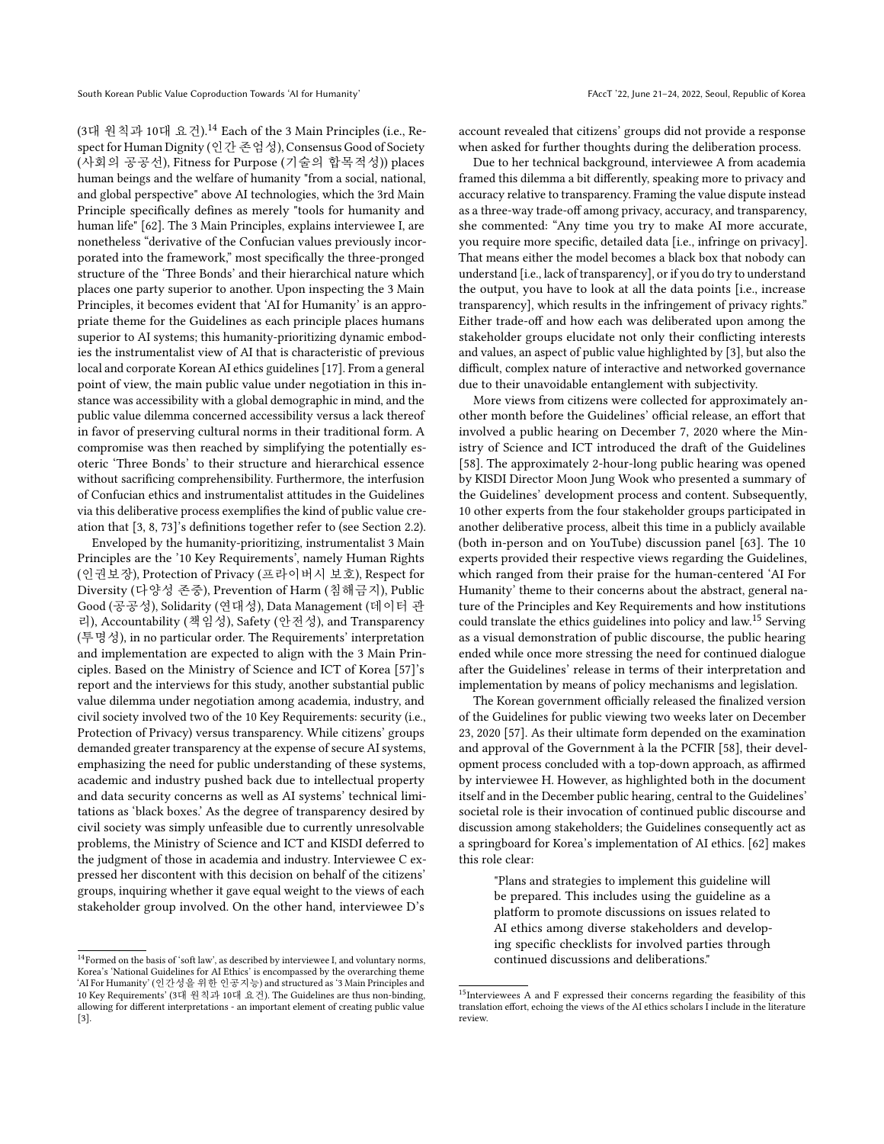(3대 원칙과 10대 요건).<sup>[14](#page-6-0)</sup> Each of the 3 Main Principles (i.e., Respect for Human Dignity (인간 존엄성), Consensus Good of Society (사회의 공공선), Fitness for Purpose (기술의 합목적성)) places human beings and the welfare of humanity "from a social, national, and global perspective" above AI technologies, which the 3rd Main Principle specifically defines as merely "tools for humanity and human life" [\[62\]](#page-9-5). The 3 Main Principles, explains interviewee I, are nonetheless "derivative of the Confucian values previously incorporated into the framework," most specifically the three-pronged structure of the 'Three Bonds' and their hierarchical nature which places one party superior to another. Upon inspecting the 3 Main Principles, it becomes evident that 'AI for Humanity' is an appropriate theme for the Guidelines as each principle places humans superior to AI systems; this humanity-prioritizing dynamic embodies the instrumentalist view of AI that is characteristic of previous local and corporate Korean AI ethics guidelines [\[17\]](#page-8-2). From a general point of view, the main public value under negotiation in this instance was accessibility with a global demographic in mind, and the public value dilemma concerned accessibility versus a lack thereof in favor of preserving cultural norms in their traditional form. A compromise was then reached by simplifying the potentially esoteric 'Three Bonds' to their structure and hierarchical essence without sacrificing comprehensibility. Furthermore, the interfusion of Confucian ethics and instrumentalist attitudes in the Guidelines via this deliberative process exemplifies the kind of public value creation that [\[3,](#page-8-13) [8,](#page-8-15) [73\]](#page-9-17)'s definitions together refer to (see Section [2.2\)](#page-2-6).

Enveloped by the humanity-prioritizing, instrumentalist 3 Main Principles are the '10 Key Requirements', namely Human Rights (인권보장), Protection of Privacy (프라이버시 보호), Respect for Diversity (다양성 존중), Prevention of Harm (침해금지), Public Good (공공성), Solidarity (연대성), Data Management (데이터 관 리), Accountability (책임성), Safety (안전성), and Transparency (투명성), in no particular order. The Requirements' interpretation and implementation are expected to align with the 3 Main Principles. Based on the Ministry of Science and ICT of Korea [\[57\]](#page-9-38)'s report and the interviews for this study, another substantial public value dilemma under negotiation among academia, industry, and civil society involved two of the 10 Key Requirements: security (i.e., Protection of Privacy) versus transparency. While citizens' groups demanded greater transparency at the expense of secure AI systems, emphasizing the need for public understanding of these systems, academic and industry pushed back due to intellectual property and data security concerns as well as AI systems' technical limitations as 'black boxes.' As the degree of transparency desired by civil society was simply unfeasible due to currently unresolvable problems, the Ministry of Science and ICT and KISDI deferred to the judgment of those in academia and industry. Interviewee C expressed her discontent with this decision on behalf of the citizens' groups, inquiring whether it gave equal weight to the views of each stakeholder group involved. On the other hand, interviewee D's

account revealed that citizens' groups did not provide a response when asked for further thoughts during the deliberation process.

Due to her technical background, interviewee A from academia framed this dilemma a bit differently, speaking more to privacy and accuracy relative to transparency. Framing the value dispute instead as a three-way trade-off among privacy, accuracy, and transparency, she commented: "Any time you try to make AI more accurate, you require more specific, detailed data [i.e., infringe on privacy]. That means either the model becomes a black box that nobody can understand [i.e., lack of transparency], or if you do try to understand the output, you have to look at all the data points [i.e., increase transparency], which results in the infringement of privacy rights." Either trade-off and how each was deliberated upon among the stakeholder groups elucidate not only their conflicting interests and values, an aspect of public value highlighted by [\[3\]](#page-8-13), but also the difficult, complex nature of interactive and networked governance due to their unavoidable entanglement with subjectivity.

More views from citizens were collected for approximately another month before the Guidelines' official release, an effort that involved a public hearing on December 7, 2020 where the Ministry of Science and ICT introduced the draft of the Guidelines [\[58\]](#page-9-39). The approximately 2-hour-long public hearing was opened by KISDI Director Moon Jung Wook who presented a summary of the Guidelines' development process and content. Subsequently, 10 other experts from the four stakeholder groups participated in another deliberative process, albeit this time in a publicly available (both in-person and on YouTube) discussion panel [\[63\]](#page-9-40). The 10 experts provided their respective views regarding the Guidelines, which ranged from their praise for the human-centered 'AI For Humanity' theme to their concerns about the abstract, general nature of the Principles and Key Requirements and how institutions could translate the ethics guidelines into policy and law.[15](#page-6-1) Serving as a visual demonstration of public discourse, the public hearing ended while once more stressing the need for continued dialogue after the Guidelines' release in terms of their interpretation and implementation by means of policy mechanisms and legislation.

The Korean government officially released the finalized version of the Guidelines for public viewing two weeks later on December 23, 2020 [\[57\]](#page-9-38). As their ultimate form depended on the examination and approval of the Government à la the PCFIR [\[58\]](#page-9-39), their development process concluded with a top-down approach, as affirmed by interviewee H. However, as highlighted both in the document itself and in the December public hearing, central to the Guidelines' societal role is their invocation of continued public discourse and discussion among stakeholders; the Guidelines consequently act as a springboard for Korea's implementation of AI ethics. [\[62\]](#page-9-5) makes this role clear:

"Plans and strategies to implement this guideline will be prepared. This includes using the guideline as a platform to promote discussions on issues related to AI ethics among diverse stakeholders and developing specific checklists for involved parties through continued discussions and deliberations."

<span id="page-6-0"></span> $^{14}\mathrm{Formed}$  on the basis of 'soft law', as described by interviewee I, and voluntary norms, Korea's 'National Guidelines for AI Ethics' is encompassed by the overarching theme 'AI For Humanity' (인간성을 위한 인공지능) and structured as '3 Main Principles and 10 Key Requirements' (3대 원칙과 10대 요건). The Guidelines are thus non-binding, allowing for different interpretations - an important element of creating public value [\[3\]](#page-8-13).

<span id="page-6-1"></span> $^{15}\rm{Interviews}$  A and F expressed their concerns regarding the feasibility of this translation effort, echoing the views of the AI ethics scholars I include in the literature review.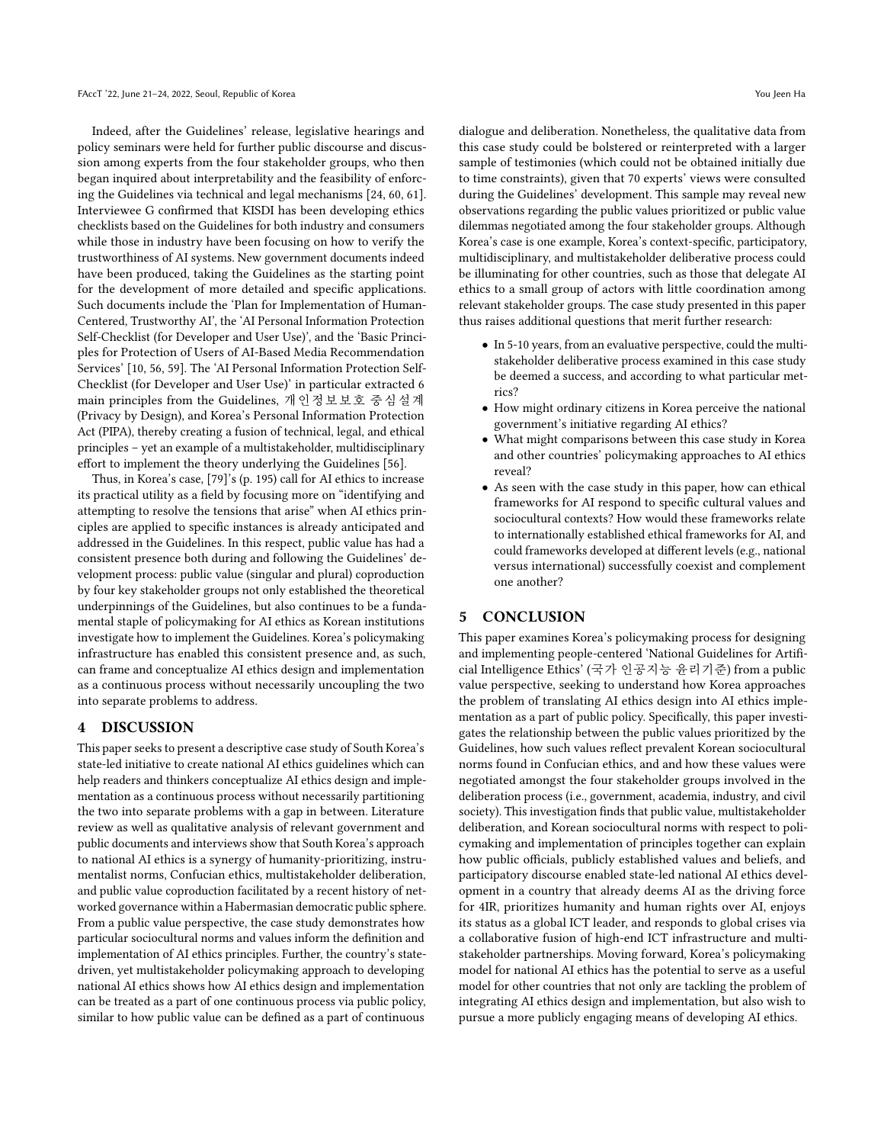Indeed, after the Guidelines' release, legislative hearings and policy seminars were held for further public discourse and discussion among experts from the four stakeholder groups, who then began inquired about interpretability and the feasibility of enforcing the Guidelines via technical and legal mechanisms [\[24,](#page-8-27) [60,](#page-9-41) [61\]](#page-9-42). Interviewee G confirmed that KISDI has been developing ethics checklists based on the Guidelines for both industry and consumers while those in industry have been focusing on how to verify the trustworthiness of AI systems. New government documents indeed have been produced, taking the Guidelines as the starting point for the development of more detailed and specific applications. Such documents include the 'Plan for Implementation of Human-Centered, Trustworthy AI', the 'AI Personal Information Protection Self-Checklist (for Developer and User Use)', and the 'Basic Principles for Protection of Users of AI-Based Media Recommendation Services' [\[10,](#page-8-28) [56,](#page-9-43) [59\]](#page-9-44). The 'AI Personal Information Protection Self-Checklist (for Developer and User Use)' in particular extracted 6 main principles from the Guidelines, 개인정보보호 중심설계 (Privacy by Design), and Korea's Personal Information Protection Act (PIPA), thereby creating a fusion of technical, legal, and ethical principles – yet an example of a multistakeholder, multidisciplinary effort to implement the theory underlying the Guidelines [\[56\]](#page-9-43).

Thus, in Korea's case, [\[79\]](#page-9-11)'s (p. 195) call for AI ethics to increase its practical utility as a field by focusing more on "identifying and attempting to resolve the tensions that arise" when AI ethics principles are applied to specific instances is already anticipated and addressed in the Guidelines. In this respect, public value has had a consistent presence both during and following the Guidelines' development process: public value (singular and plural) coproduction by four key stakeholder groups not only established the theoretical underpinnings of the Guidelines, but also continues to be a fundamental staple of policymaking for AI ethics as Korean institutions investigate how to implement the Guidelines. Korea's policymaking infrastructure has enabled this consistent presence and, as such, can frame and conceptualize AI ethics design and implementation as a continuous process without necessarily uncoupling the two into separate problems to address.

## 4 DISCUSSION

This paper seeks to present a descriptive case study of South Korea's state-led initiative to create national AI ethics guidelines which can help readers and thinkers conceptualize AI ethics design and implementation as a continuous process without necessarily partitioning the two into separate problems with a gap in between. Literature review as well as qualitative analysis of relevant government and public documents and interviews show that South Korea's approach to national AI ethics is a synergy of humanity-prioritizing, instrumentalist norms, Confucian ethics, multistakeholder deliberation, and public value coproduction facilitated by a recent history of networked governance within a Habermasian democratic public sphere. From a public value perspective, the case study demonstrates how particular sociocultural norms and values inform the definition and implementation of AI ethics principles. Further, the country's statedriven, yet multistakeholder policymaking approach to developing national AI ethics shows how AI ethics design and implementation can be treated as a part of one continuous process via public policy, similar to how public value can be defined as a part of continuous

dialogue and deliberation. Nonetheless, the qualitative data from this case study could be bolstered or reinterpreted with a larger sample of testimonies (which could not be obtained initially due to time constraints), given that 70 experts' views were consulted during the Guidelines' development. This sample may reveal new observations regarding the public values prioritized or public value dilemmas negotiated among the four stakeholder groups. Although Korea's case is one example, Korea's context-specific, participatory, multidisciplinary, and multistakeholder deliberative process could be illuminating for other countries, such as those that delegate AI ethics to a small group of actors with little coordination among relevant stakeholder groups. The case study presented in this paper thus raises additional questions that merit further research:

- In 5-10 years, from an evaluative perspective, could the multistakeholder deliberative process examined in this case study be deemed a success, and according to what particular metrics?
- How might ordinary citizens in Korea perceive the national government's initiative regarding AI ethics?
- What might comparisons between this case study in Korea and other countries' policymaking approaches to AI ethics reveal?
- As seen with the case study in this paper, how can ethical frameworks for AI respond to specific cultural values and sociocultural contexts? How would these frameworks relate to internationally established ethical frameworks for AI, and could frameworks developed at different levels (e.g., national versus international) successfully coexist and complement one another?

## 5 CONCLUSION

This paper examines Korea's policymaking process for designing and implementing people-centered 'National Guidelines for Artificial Intelligence Ethics' (국가 인공지능 윤리기준) from a public value perspective, seeking to understand how Korea approaches the problem of translating AI ethics design into AI ethics implementation as a part of public policy. Specifically, this paper investigates the relationship between the public values prioritized by the Guidelines, how such values reflect prevalent Korean sociocultural norms found in Confucian ethics, and and how these values were negotiated amongst the four stakeholder groups involved in the deliberation process (i.e., government, academia, industry, and civil society). This investigation finds that public value, multistakeholder deliberation, and Korean sociocultural norms with respect to policymaking and implementation of principles together can explain how public officials, publicly established values and beliefs, and participatory discourse enabled state-led national AI ethics development in a country that already deems AI as the driving force for 4IR, prioritizes humanity and human rights over AI, enjoys its status as a global ICT leader, and responds to global crises via a collaborative fusion of high-end ICT infrastructure and multistakeholder partnerships. Moving forward, Korea's policymaking model for national AI ethics has the potential to serve as a useful model for other countries that not only are tackling the problem of integrating AI ethics design and implementation, but also wish to pursue a more publicly engaging means of developing AI ethics.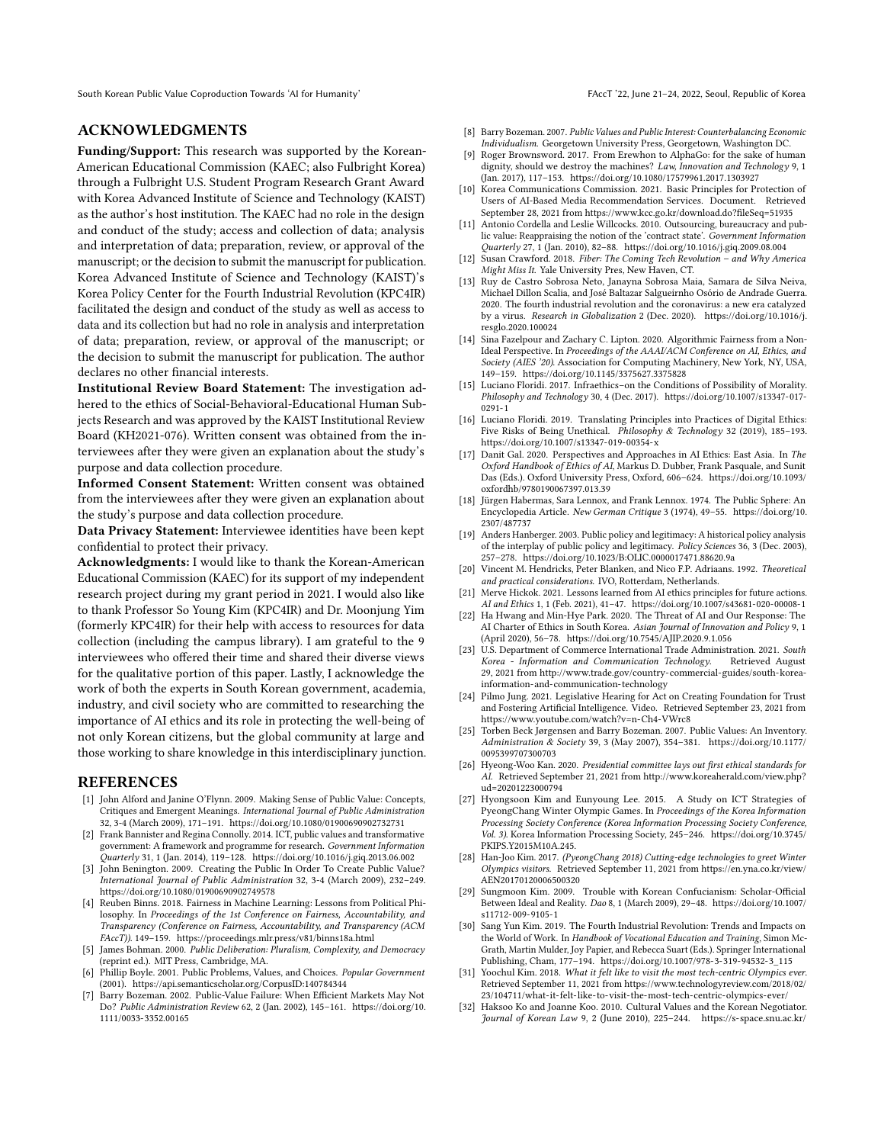South Korean Public Value Coproduction Towards 'AI for Humanity' FACCT '22, June 21-24, 2022, Seoul, Republic of Korea

## ACKNOWLEDGMENTS

Funding/Support: This research was supported by the Korean-American Educational Commission (KAEC; also Fulbright Korea) through a Fulbright U.S. Student Program Research Grant Award with Korea Advanced Institute of Science and Technology (KAIST) as the author's host institution. The KAEC had no role in the design and conduct of the study; access and collection of data; analysis and interpretation of data; preparation, review, or approval of the manuscript; or the decision to submit the manuscript for publication. Korea Advanced Institute of Science and Technology (KAIST)'s Korea Policy Center for the Fourth Industrial Revolution (KPC4IR) facilitated the design and conduct of the study as well as access to data and its collection but had no role in analysis and interpretation of data; preparation, review, or approval of the manuscript; or the decision to submit the manuscript for publication. The author declares no other financial interests.

Institutional Review Board Statement: The investigation adhered to the ethics of Social-Behavioral-Educational Human Subjects Research and was approved by the KAIST Institutional Review Board (KH2021-076). Written consent was obtained from the interviewees after they were given an explanation about the study's purpose and data collection procedure.

Informed Consent Statement: Written consent was obtained from the interviewees after they were given an explanation about the study's purpose and data collection procedure.

Data Privacy Statement: Interviewee identities have been kept confidential to protect their privacy.

Acknowledgments: I would like to thank the Korean-American Educational Commission (KAEC) for its support of my independent research project during my grant period in 2021. I would also like to thank Professor So Young Kim (KPC4IR) and Dr. Moonjung Yim (formerly KPC4IR) for their help with access to resources for data collection (including the campus library). I am grateful to the 9 interviewees who offered their time and shared their diverse views for the qualitative portion of this paper. Lastly, I acknowledge the work of both the experts in South Korean government, academia, industry, and civil society who are committed to researching the importance of AI ethics and its role in protecting the well-being of not only Korean citizens, but the global community at large and those working to share knowledge in this interdisciplinary junction.

#### REFERENCES

- <span id="page-8-12"></span>[1] John Alford and Janine O'Flynn. 2009. Making Sense of Public Value: Concepts, Critiques and Emergent Meanings. International Journal of Public Administration 32, 3-4 (March 2009), 171–191.<https://doi.org/10.1080/01900690902732731>
- [2] Frank Bannister and Regina Connolly. 2014. ICT, public values and transformative government: A framework and programme for research. Government Information Quarterly 31, 1 (Jan. 2014), 119–128.<https://doi.org/10.1016/j.giq.2013.06.002>
- <span id="page-8-13"></span>[3] John Benington. 2009. Creating the Public In Order To Create Public Value? International Journal of Public Administration 32, 3-4 (March 2009), 232–249. <https://doi.org/10.1080/01900690902749578>
- <span id="page-8-6"></span>[4] Reuben Binns. 2018. Fairness in Machine Learning: Lessons from Political Philosophy. In Proceedings of the 1st Conference on Fairness, Accountability, and Transparency (Conference on Fairness, Accountability, and Transparency (ACM FAccT)). 149–159.<https://proceedings.mlr.press/v81/binns18a.html>
- <span id="page-8-10"></span>[5] James Bohman. 2000. Public Deliberation: Pluralism, Complexity, and Democracy (reprint ed.). MIT Press, Cambridge, MA.
- <span id="page-8-17"></span>[6] Phillip Boyle. 2001. Public Problems, Values, and Choices. Popular Government (2001).<https://api.semanticscholar.org/CorpusID:140784344>
- <span id="page-8-14"></span>[7] Barry Bozeman. 2002. Public-Value Failure: When Efficient Markets May Not Do? Public Administration Review 62, 2 (Jan. 2002), 145–161. [https://doi.org/10.](https://doi.org/10.1111/0033-3352.00165) [1111/0033-3352.00165](https://doi.org/10.1111/0033-3352.00165)
- <span id="page-8-15"></span>[8] Barry Bozeman. 2007. Public Values and Public Interest: Counterbalancing Economic Individualism. Georgetown University Press, Georgetown, Washington DC.
- <span id="page-8-21"></span>[9] Roger Brownsword. 2017. From Erewhon to AlphaGo: for the sake of human dignity, should we destroy the machines? Law, Innovation and Technology 9, 1 (Jan. 2017), 117–153.<https://doi.org/10.1080/17579961.2017.1303927>
- <span id="page-8-28"></span>[10] Korea Communications Commission. 2021. Basic Principles for Protection of Users of AI-Based Media Recommendation Services. Document. Retrieved September 28, 2021 from<https://www.kcc.go.kr/download.do?fileSeq=51935>
- <span id="page-8-16"></span>[11] Antonio Cordella and Leslie Willcocks. 2010. Outsourcing, bureaucracy and public value: Reappraising the notion of the 'contract state'. Government Information Quarterly 27, 1 (Jan. 2010), 82–88.<https://doi.org/10.1016/j.giq.2009.08.004>
- <span id="page-8-23"></span>[12] Susan Crawford. 2018. Fiber: The Coming Tech Revolution – and Why America Might Miss It. Yale University Pres, New Haven, CT.
- <span id="page-8-5"></span>[13] Ruy de Castro Sobrosa Neto, Janayna Sobrosa Maia, Samara de Silva Neiva, Michael Dillon Scalia, and José Baltazar Salgueirnho Osório de Andrade Guerra. 2020. The fourth industrial revolution and the coronavirus: a new era catalyzed by a virus. Research in Globalization 2 (Dec. 2020). [https://doi.org/10.1016/j.](https://doi.org/10.1016/j.resglo.2020.100024) [resglo.2020.100024](https://doi.org/10.1016/j.resglo.2020.100024)
- <span id="page-8-7"></span>[14] Sina Fazelpour and Zachary C. Lipton. 2020. Algorithmic Fairness from a Non-Ideal Perspective. In Proceedings of the AAAI/ACM Conference on AI, Ethics, and Society (AIES '20). Association for Computing Machinery, New York, NY, USA, 149–159.<https://doi.org/10.1145/3375627.3375828>
- [15] Luciano Floridi. 2017. Infraethics–on the Conditions of Possibility of Morality. Philosophy and Technology 30, 4 (Dec. 2017). [https://doi.org/10.1007/s13347-017-](https://doi.org/10.1007/s13347-017-0291-1) [0291-1](https://doi.org/10.1007/s13347-017-0291-1)
- <span id="page-8-8"></span>[16] Luciano Floridi. 2019. Translating Principles into Practices of Digital Ethics: Five Risks of Being Unethical. Philosophy & Technology 32 (2019), 185-193. <https://doi.org/10.1007/s13347-019-00354-x>
- <span id="page-8-2"></span>[17] Danit Gal. 2020. Perspectives and Approaches in AI Ethics: East Asia. In The Oxford Handbook of Ethics of AI, Markus D. Dubber, Frank Pasquale, and Sunit Das (Eds.). Oxford University Press, Oxford, 606–624. [https://doi.org/10.1093/](https://doi.org/10.1093/oxfordhb/9780190067397.013.39) [oxfordhb/9780190067397.013.39](https://doi.org/10.1093/oxfordhb/9780190067397.013.39)
- <span id="page-8-18"></span>[18] Jürgen Habermas, Sara Lennox, and Frank Lennox. 1974. The Public Sphere: An Encyclopedia Article. New German Critique 3 (1974), 49–55. [https://doi.org/10.](https://doi.org/10.2307/487737) [2307/487737](https://doi.org/10.2307/487737)
- <span id="page-8-9"></span>[19] Anders Hanberger. 2003. Public policy and legitimacy: A historical policy analysis of the interplay of public policy and legitimacy. Policy Sciences 36, 3 (Dec. 2003), 257–278.<https://doi.org/10.1023/B:OLIC.0000017471.88620.9a>
- <span id="page-8-29"></span>[20] Vincent M. Hendricks, Peter Blanken, and Nico F.P. Adriaans. 1992. Theoretical and practical considerations. IVO, Rotterdam, Netherlands.
- <span id="page-8-4"></span>[21] Merve Hickok. 2021. Lessons learned from AI ethics principles for future actions. AI and Ethics 1, 1 (Feb. 2021), 41–47.<https://doi.org/10.1007/s43681-020-00008-1>
- <span id="page-8-26"></span>[22] Ha Hwang and Min-Hye Park. 2020. The Threat of AI and Our Response: The AI Charter of Ethics in South Korea. Asian Journal of Innovation and Policy 9, 1 (April 2020), 56–78.<https://doi.org/10.7545/AJIP.2020.9.1.056>
- <span id="page-8-3"></span>[23] U.S. Department of Commerce International Trade Administration. 2021. South Korea - Information and Communication Technology. Retrieved August 29, 2021 from [http://www.trade.gov/country-commercial-guides/south-korea](http://www.trade.gov/country-commercial-guides/south-korea-information-and-communication-technology)[information-and-communication-technology](http://www.trade.gov/country-commercial-guides/south-korea-information-and-communication-technology)
- <span id="page-8-27"></span>[24] Pilmo Jung. 2021. Legislative Hearing for Act on Creating Foundation for Trust and Fostering Artificial Intelligence. Video. Retrieved September 23, 2021 from <https://www.youtube.com/watch?v=n-Ch4-VWrc8>
- <span id="page-8-11"></span>[25] Torben Beck Jørgensen and Barry Bozeman. 2007. Public Values: An Inventory. Administration & Society 39, 3 (May 2007), 354–381. [https://doi.org/10.1177/](https://doi.org/10.1177/0095399707300703) [0095399707300703](https://doi.org/10.1177/0095399707300703)
- <span id="page-8-1"></span>[26] Hyeong-Woo Kan. 2020. Presidential committee lays out first ethical standards for AI. Retrieved September 21, 2021 from [http://www.koreaherald.com/view.php?](http://www.koreaherald.com/view.php?ud=20201223000794) [ud=20201223000794](http://www.koreaherald.com/view.php?ud=20201223000794)
- <span id="page-8-22"></span>[27] Hyongsoon Kim and Eunyoung Lee. 2015. A Study on ICT Strategies of PyeongChang Winter Olympic Games. In Proceedings of the Korea Information Processing Society Conference (Korea Information Processing Society Conference, Vol. 3). Korea Information Processing Society, 245–246. [https://doi.org/10.3745/](https://doi.org/10.3745/PKIPS.Y2015M10A.245.) [PKIPS.Y2015M10A.245.](https://doi.org/10.3745/PKIPS.Y2015M10A.245.)
- <span id="page-8-24"></span>[28] Han-Joo Kim. 2017. (PyeongChang 2018) Cutting-edge technologies to greet Winter Olympics visitors. Retrieved September 11, 2021 from [https://en.yna.co.kr/view/](https://en.yna.co.kr/view/AEN20170120006500320) [AEN20170120006500320](https://en.yna.co.kr/view/AEN20170120006500320)
- <span id="page-8-19"></span>[29] Sungmoon Kim. 2009. Trouble with Korean Confucianism: Scholar-Official Between Ideal and Reality. Dao 8, 1 (March 2009), 29–48. [https://doi.org/10.1007/](https://doi.org/10.1007/s11712-009-9105-1) [s11712-009-9105-1](https://doi.org/10.1007/s11712-009-9105-1)
- <span id="page-8-0"></span>[30] Sang Yun Kim. 2019. The Fourth Industrial Revolution: Trends and Impacts on the World of Work. In Handbook of Vocational Education and Training, Simon Mc-Grath, Martin Mulder, Joy Papier, and Rebecca Suart (Eds.). Springer International Publishing, Cham, 177–194. [https://doi.org/10.1007/978-3-319-94532-3\\_115](https://doi.org/10.1007/978-3-319-94532-3_115)
- <span id="page-8-25"></span>[31] Yoochul Kim. 2018. What it felt like to visit the most tech-centric Olympics ever. Retrieved September 11, 2021 from [https://www.technologyreview.com/2018/02/](https://www.technologyreview.com/2018/02/23/104711/what-it-felt-like-to-visit-the-most-tech-centric-olympics-ever/) [23/104711/what-it-felt-like-to-visit-the-most-tech-centric-olympics-ever/](https://www.technologyreview.com/2018/02/23/104711/what-it-felt-like-to-visit-the-most-tech-centric-olympics-ever/)
- <span id="page-8-20"></span>[32] Haksoo Ko and Joanne Koo. 2010. Cultural Values and the Korean Negotiator. Journal of Korean Law 9, 2 (June 2010), 225–244. [https://s-space.snu.ac.kr/](https://s-space.snu.ac.kr/bitstream/10371/85169/1/03H_Ko_and_J_Koo.pdf)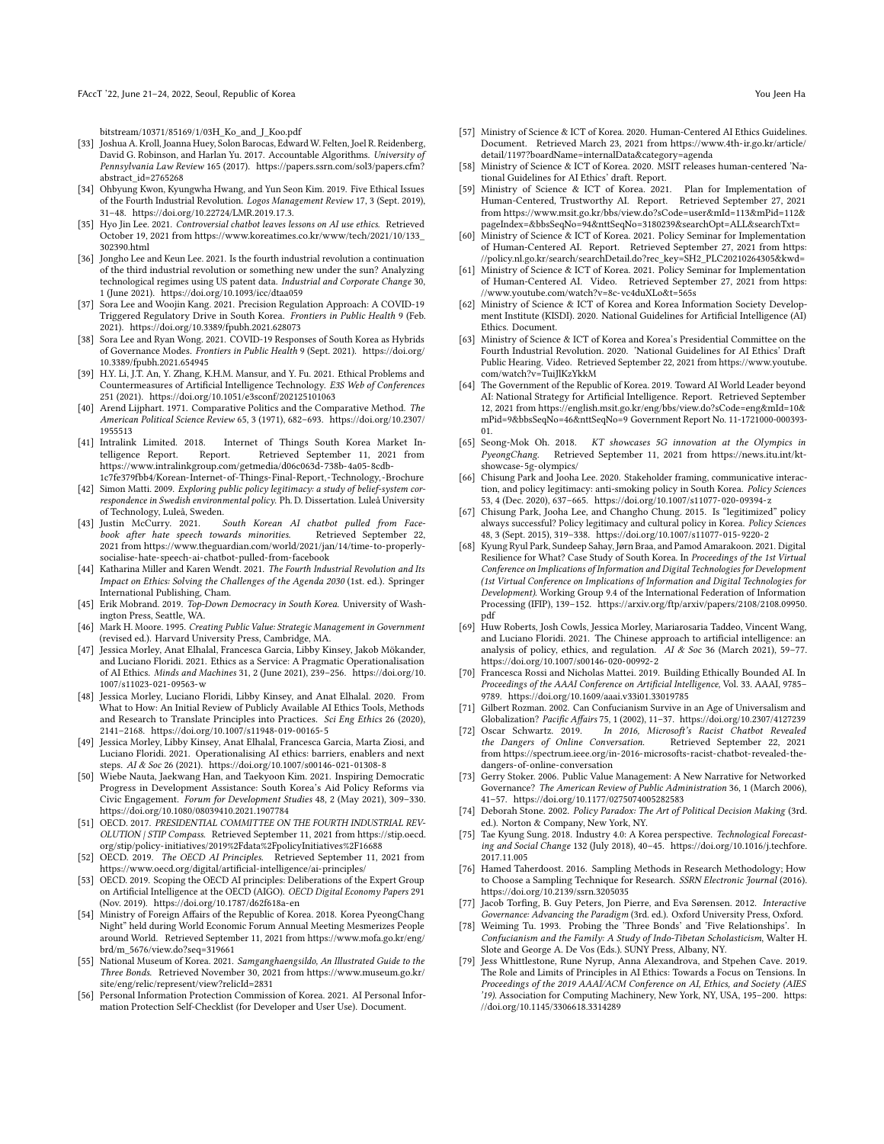FAccT '22, June 21–24, 2022, Seoul, Republic of Korea You Jeen Hampshare Server Assembly to the Server Assembly of the Hampshare Server Assembly to the Hampshare Server Assembly to the Hampshare Server Assembly to the Serv

[bitstream/10371/85169/1/03H\\_Ko\\_and\\_J\\_Koo.pdf](https://s-space.snu.ac.kr/bitstream/10371/85169/1/03H_Ko_and_J_Koo.pdf)

- <span id="page-9-12"></span>[33] Joshua A. Kroll, Joanna Huey, Solon Barocas, Edward W. Felten, Joel R. Reidenberg, David G. Robinson, and Harlan Yu. 2017. Accountable Algorithms. University of Pennsylvania Law Review 165 (2017). [https://papers.ssrn.com/sol3/papers.cfm?](https://papers.ssrn.com/sol3/papers.cfm?abstract_id=2765268) [abstract\\_id=2765268](https://papers.ssrn.com/sol3/papers.cfm?abstract_id=2765268)
- <span id="page-9-1"></span>[34] Ohbyung Kwon, Kyungwha Hwang, and Yun Seon Kim. 2019. Five Ethical Issues of the Fourth Industrial Revolution. Logos Management Review 17, 3 (Sept. 2019), 31–48.<https://doi.org/10.22724/LMR.2019.17.3.>
- <span id="page-9-29"></span>[35] Hyo Jin Lee. 2021. Controversial chatbot leaves lessons on AI use ethics. Retrieved October 19, 2021 from [https://www.koreatimes.co.kr/www/tech/2021/10/133\\_](https://www.koreatimes.co.kr/www/tech/2021/10/133_302390.html) [302390.html](https://www.koreatimes.co.kr/www/tech/2021/10/133_302390.html)
- <span id="page-9-0"></span>[36] Jongho Lee and Keun Lee. 2021. Is the fourth industrial revolution a continuation of the third industrial revolution or something new under the sun? Analyzing technological regimes using US patent data. Industrial and Corporate Change 30, 1 (June 2021).<https://doi.org/10.1093/icc/dtaa059>
- <span id="page-9-7"></span>[37] Sora Lee and Woojin Kang. 2021. Precision Regulation Approach: A COVID-19 Triggered Regulatory Drive in South Korea. Frontiers in Public Health 9 (Feb. 2021).<https://doi.org/10.3389/fpubh.2021.628073>
- <span id="page-9-9"></span>[38] Sora Lee and Ryan Wong. 2021. COVID-19 Responses of South Korea as Hybrids of Governance Modes. Frontiers in Public Health 9 (Sept. 2021). [https://doi.org/](https://doi.org/10.3389/fpubh.2021.654945) [10.3389/fpubh.2021.654945](https://doi.org/10.3389/fpubh.2021.654945)
- <span id="page-9-25"></span>[39] H.Y. Li, J.T. An, Y. Zhang, K.H.M. Mansur, and Y. Fu. 2021. Ethical Problems and Countermeasures of Artificial Intelligence Technology. E3S Web of Conferences 251 (2021).<https://doi.org/10.1051/e3sconf/202125101063>
- <span id="page-9-4"></span>[40] Arend Lijphart. 1971. Comparative Politics and the Comparative Method. The American Political Science Review 65, 3 (1971), 682–693. [https://doi.org/10.2307/](https://doi.org/10.2307/1955513) [1955513](https://doi.org/10.2307/1955513)<br>[41] Intralink Limited. 2018.
- <span id="page-9-33"></span>Intralink Limited. 2018. Internet of Things South Korea Market Intelligence Report. Report. Retrieved September 11, 2021 from Retrieved September 11, 2021 from [https://www.intralinkgroup.com/getmedia/d06c063d-738b-4a05-8cdb-](https://www.intralinkgroup.com/getmedia/d06c063d-738b-4a05-8cdb-1c7fe379fbb4/Korean-Internet-of-Things-Final-Report,-Technology,-Brochure)[1c7fe379fbb4/Korean-Internet-of-Things-Final-Report,-Technology,-Brochure](https://www.intralinkgroup.com/getmedia/d06c063d-738b-4a05-8cdb-1c7fe379fbb4/Korean-Internet-of-Things-Final-Report,-Technology,-Brochure)
- <span id="page-9-15"></span>[42] Simon Matti. 2009. Exploring public policy legitimacy: a study of belief-system correspondence in Swedish environmental policy. Ph. D. Dissertation. Luleå University
- <span id="page-9-30"></span>of Technology, Luleå, Sweden.<br>[43] Justin McCurry. 2021. South Korean AI chatbot pulled from Facebook after hate speech towards minorities. Retrieved September 22, 2021 from [https://www.theguardian.com/world/2021/jan/14/time-to-properly](https://www.theguardian.com/world/2021/jan/14/time-to-properly-socialise-hate-speech-ai-chatbot-pulled-from-facebook)[socialise-hate-speech-ai-chatbot-pulled-from-facebook](https://www.theguardian.com/world/2021/jan/14/time-to-properly-socialise-hate-speech-ai-chatbot-pulled-from-facebook)
- <span id="page-9-2"></span>[44] Katharina Miller and Karen Wendt. 2021. The Fourth Industrial Revolution and Its Impact on Ethics: Solving the Challenges of the Agenda 2030 (1st. ed.). Springer International Publishing, Cham.
- <span id="page-9-37"></span>[45] Erik Mobrand. 2019. Top-Down Democracy in South Korea. University of Washington Press, Seattle, WA.
- <span id="page-9-16"></span>[46] Mark H. Moore. 1995. Creating Public Value: Strategic Management in Government (revised ed.). Harvard University Press, Cambridge, MA.
- <span id="page-9-10"></span>[47] Jessica Morley, Anat Elhalal, Francesca Garcia, Libby Kinsey, Jakob Mökander, and Luciano Floridi. 2021. Ethics as a Service: A Pragmatic Operationalisation of AI Ethics. Minds and Machines 31, 2 (June 2021), 239–256. [https://doi.org/10.](https://doi.org/10.1007/s11023-021-09563-w) [1007/s11023-021-09563-w](https://doi.org/10.1007/s11023-021-09563-w)
- [48] Jessica Morley, Luciano Floridi, Libby Kinsey, and Anat Elhalal. 2020. From What to How: An Initial Review of Publicly Available AI Ethics Tools, Methods and Research to Translate Principles into Practices. Sci Eng Ethics 26 (2020), 2141–2168.<https://doi.org/10.1007/s11948-019-00165-5>
- <span id="page-9-13"></span>[49] Jessica Morley, Libby Kinsey, Anat Elhalal, Francesca Garcia, Marta Ziosi, and Luciano Floridi. 2021. Operationalising AI ethics: barriers, enablers and next steps. AI & Soc 26 (2021).<https://doi.org/10.1007/s00146-021-01308-8>
- <span id="page-9-24"></span>[50] Wiebe Nauta, Jaekwang Han, and Taekyoon Kim. 2021. Inspiring Democratic Progress in Development Assistance: South Korea's Aid Policy Reforms via Civic Engagement. Forum for Development Studies 48, 2 (May 2021), 309–330. <https://doi.org/10.1080/08039410.2021.1907784>
- <span id="page-9-34"></span>[51] OECD. 2017. PRESIDENTIAL COMMITTEE ON THE FOURTH INDUSTRIAL REV-OLUTION | STIP Compass. Retrieved September 11, 2021 from [https://stip.oecd.](https://stip.oecd.org/stip/policy-initiatives/2019%2Fdata%2FpolicyInitiatives%2F16688) [org/stip/policy-initiatives/2019%2Fdata%2FpolicyInitiatives%2F16688](https://stip.oecd.org/stip/policy-initiatives/2019%2Fdata%2FpolicyInitiatives%2F16688)
- <span id="page-9-32"></span>[52] OECD. 2019. The OECD AI Principles. Retrieved September 11, 2021 from <https://www.oecd.org/digital/artificial-intelligence/ai-principles/>
- <span id="page-9-31"></span>[53] OECD. 2019. Scoping the OECD AI principles: Deliberations of the Expert Group on Artificial Intelligence at the OECD (AIGO). OECD Digital Economy Papers 291 (Nov. 2019).<https://doi.org/10.1787/d62f618a-en>
- <span id="page-9-35"></span>[54] Ministry of Foreign Affairs of the Republic of Korea. 2018. Korea PyeongChang Night" held during World Economic Forum Annual Meeting Mesmerizes People around World. Retrieved September 11, 2021 from [https://www.mofa.go.kr/eng/](https://www.mofa.go.kr/eng/brd/m_5676/view.do?seq=319661) [brd/m\\_5676/view.do?seq=319661](https://www.mofa.go.kr/eng/brd/m_5676/view.do?seq=319661)
- <span id="page-9-21"></span>[55] National Museum of Korea. 2021. Samganghaengsildo, An Illustrated Guide to the Three Bonds. Retrieved November 30, 2021 from [https://www.museum.go.kr/](https://www.museum.go.kr/site/eng/relic/represent/view?relicId=2831) [site/eng/relic/represent/view?relicId=2831](https://www.museum.go.kr/site/eng/relic/represent/view?relicId=2831)
- <span id="page-9-43"></span>[56] Personal Information Protection Commission of Korea. 2021. AI Personal Information Protection Self-Checklist (for Developer and User Use). Document.
- <span id="page-9-38"></span>[57] Ministry of Science & ICT of Korea. 2020. Human-Centered AI Ethics Guidelines. Document. Retrieved March 23, 2021 from [https://www.4th-ir.go.kr/article/](https://www.4th-ir.go.kr/article/detail/1197?boardName=internalData&category=agenda) [detail/1197?boardName=internalData&category=agenda](https://www.4th-ir.go.kr/article/detail/1197?boardName=internalData&category=agenda)
- <span id="page-9-39"></span>[58] Ministry of Science & ICT of Korea. 2020. MSIT releases human-centered 'National Guidelines for AI Ethics' draft. Report.
- <span id="page-9-44"></span>[59] Ministry of Science & ICT of Korea. 2021. Plan for Implementation of Human-Centered, Trustworthy AI. Report. Retrieved September 27, 2021 from [https://www.msit.go.kr/bbs/view.do?sCode=user&mId=113&mPid=112&](https://www.msit.go.kr/bbs/view.do?sCode=user&mId=113&mPid=112&pageIndex=&bbsSeqNo=94&nttSeqNo=3180239&searchOpt=ALL&searchTxt=) [pageIndex=&bbsSeqNo=94&nttSeqNo=3180239&searchOpt=ALL&searchTxt=](https://www.msit.go.kr/bbs/view.do?sCode=user&mId=113&mPid=112&pageIndex=&bbsSeqNo=94&nttSeqNo=3180239&searchOpt=ALL&searchTxt=)
- <span id="page-9-41"></span>[60] Ministry of Science & ICT of Korea. 2021. Policy Seminar for Implementation of Human-Centered AI. Report. Retrieved September 27, 2021 from [https:](https://policy.nl.go.kr/search/searchDetail.do?rec_key=SH2_PLC20210264305&kwd=) [//policy.nl.go.kr/search/searchDetail.do?rec\\_key=SH2\\_PLC20210264305&kwd=](https://policy.nl.go.kr/search/searchDetail.do?rec_key=SH2_PLC20210264305&kwd=)
- <span id="page-9-42"></span>[61] Ministry of Science & ICT of Korea. 2021. Policy Seminar for Implementation of Human-Centered AI. Video. Retrieved September 27, 2021 from [https:](https://www.youtube.com/watch?v=8c-vc4duXLo&t=565s) [//www.youtube.com/watch?v=8c-vc4duXLo&t=565s](https://www.youtube.com/watch?v=8c-vc4duXLo&t=565s)
- <span id="page-9-5"></span>[62] Ministry of Science & ICT of Korea and Korea Information Society Development Institute (KISDI). 2020. National Guidelines for Artificial Intelligence (AI) Ethics. Document.
- <span id="page-9-40"></span>[63] Ministry of Science & ICT of Korea and Korea's Presidential Committee on the Fourth Industrial Revolution. 2020. 'National Guidelines for AI Ethics' Draft Public Hearing. Video. Retrieved September 22, 2021 from [https://www.youtube.](https://www.youtube.com/watch?v=TuiJlKzYkkM) [com/watch?v=TuiJlKzYkkM](https://www.youtube.com/watch?v=TuiJlKzYkkM)
- <span id="page-9-6"></span>[64] The Government of the Republic of Korea. 2019. Toward AI World Leader beyond AI: National Strategy for Artificial Intelligence. Report. Retrieved September 12, 2021 from [https://english.msit.go.kr/eng/bbs/view.do?sCode=eng&mId=10&](https://english.msit.go.kr/eng/bbs/view.do?sCode=eng&mId=10&mPid=9&bbsSeqNo=46&nttSeqNo=9) [mPid=9&bbsSeqNo=46&nttSeqNo=9](https://english.msit.go.kr/eng/bbs/view.do?sCode=eng&mId=10&mPid=9&bbsSeqNo=46&nttSeqNo=9) Government Report No. 11-1721000-000393- 01.
- <span id="page-9-36"></span>[65] Seong-Mok Oh. 2018. KT showcases 5G innovation at the Olympics in PyeongChang. Retrieved September 11, 2021 from [https://news.itu.int/kt](https://news.itu.int/kt-showcase-5g-olympics/)[showcase-5g-olympics/](https://news.itu.int/kt-showcase-5g-olympics/)
- <span id="page-9-19"></span>[66] Chisung Park and Jooha Lee. 2020. Stakeholder framing, communicative interaction, and policy legitimacy: anti-smoking policy in South Korea. Policy Sciences 53, 4 (Dec. 2020), 637–665.<https://doi.org/10.1007/s11077-020-09394-z>
- <span id="page-9-14"></span>[67] Chisung Park, Jooha Lee, and Changho Chung. 2015. Is "legitimized" policy always successful? Policy legitimacy and cultural policy in Korea. Policy Sciences 48, 3 (Sept. 2015), 319–338.<https://doi.org/10.1007/s11077-015-9220-2>
- <span id="page-9-8"></span>[68] Kyung Ryul Park, Sundeep Sahay, Jørn Braa, and Pamod Amarakoon. 2021. Digital Resilience for What? Case Study of South Korea. In Proceedings of the 1st Virtual Conference on Implications of Information and Digital Technologies for Development (1st Virtual Conference on Implications of Information and Digital Technologies for Development). Working Group 9.4 of the International Federation of Information Processing (IFIP), 139–152. [https://arxiv.org/ftp/arxiv/papers/2108/2108.09950.](https://arxiv.org/ftp/arxiv/papers/2108/2108.09950.pdf) [pdf](https://arxiv.org/ftp/arxiv/papers/2108/2108.09950.pdf)
- <span id="page-9-26"></span>[69] Huw Roberts, Josh Cowls, Jessica Morley, Mariarosaria Taddeo, Vincent Wang, and Luciano Floridi. 2021. The Chinese approach to artificial intelligence: an analysis of policy, ethics, and regulation. AI & Soc 36 (March 2021), 59–77. <https://doi.org/10.1007/s00146-020-00992-2>
- <span id="page-9-27"></span>[70] Francesca Rossi and Nicholas Mattei. 2019. Building Ethically Bounded AI. In Proceedings of the AAAI Conference on Artificial Intelligence, Vol. 33. AAAI, 9785– 9789.<https://doi.org/10.1609/aaai.v33i01.33019785>
- <span id="page-9-23"></span>[71] Gilbert Rozman. 2002. Can Confucianism Survive in an Age of Universalism and Globalization? Pacific Affairs 75, 1 (2002), 11–37.<https://doi.org/10.2307/4127239><br>Oscar Schwartz. 2019. In 2016, Microsoft's Racist Chatbot Revealed
- <span id="page-9-28"></span>[72] Oscar Schwartz. 2019. In 2016, Microsoft's Racist Chatbot Revealed the Dangers of Online Conversation. Retrieved September 22, 2021 from [https://spectrum.ieee.org/in-2016-microsofts-racist-chatbot-revealed-the](https://spectrum.ieee.org/in-2016-microsofts-racist-chatbot-revealed-the-dangers-of-online-conversation)[dangers-of-online-conversation](https://spectrum.ieee.org/in-2016-microsofts-racist-chatbot-revealed-the-dangers-of-online-conversation)
- <span id="page-9-17"></span>[73] Gerry Stoker. 2006. Public Value Management: A New Narrative for Networked Governance? The American Review of Public Administration 36, 1 (March 2006), 41–57.<https://doi.org/10.1177/0275074005282583>
- <span id="page-9-18"></span>[74] Deborah Stone. 2002. Policy Paradox: The Art of Political Decision Making (3rd. ed.). Norton & Company, New York, NY.
- <span id="page-9-3"></span>[75] Tae Kyung Sung. 2018. Industry 4.0: A Korea perspective. Technological Forecasting and Social Change 132 (July 2018), 40–45. [https://doi.org/10.1016/j.techfore.](https://doi.org/10.1016/j.techfore.2017.11.005) [2017.11.005](https://doi.org/10.1016/j.techfore.2017.11.005)
- <span id="page-9-45"></span>[76] Hamed Taherdoost. 2016. Sampling Methods in Research Methodology; How to Choose a Sampling Technique for Research. SSRN Electronic Journal (2016). <https://doi.org/10.2139/ssrn.3205035>
- <span id="page-9-20"></span>[77] Jacob Torfing, B. Guy Peters, Jon Pierre, and Eva Sørensen. 2012. Interactive Governance: Advancing the Paradigm (3rd. ed.). Oxford University Press, Oxford.
- <span id="page-9-22"></span>[78] Weiming Tu. 1993. Probing the 'Three Bonds' and 'Five Relationships'. In Confucianism and the Family: A Study of Indo-Tibetan Scholasticism, Walter H. Slote and George A. De Vos (Eds.). SUNY Press, Albany, NY.
- <span id="page-9-11"></span>[79] Jess Whittlestone, Rune Nyrup, Anna Alexandrova, and Stpehen Cave. 2019. The Role and Limits of Principles in AI Ethics: Towards a Focus on Tensions. In Proceedings of the 2019 AAAI/ACM Conference on AI, Ethics, and Society (AIES '19). Association for Computing Machinery, New York, NY, USA, 195–200. [https:](https://doi.org/10.1145/3306618.3314289) [//doi.org/10.1145/3306618.3314289](https://doi.org/10.1145/3306618.3314289)